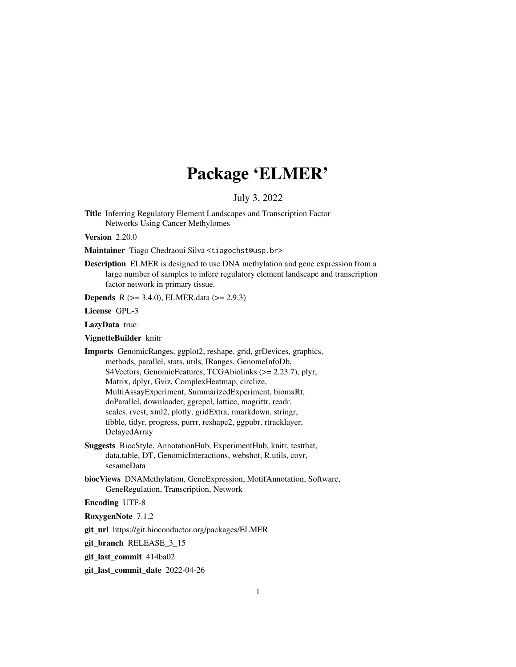# Package 'ELMER'

July 3, 2022

Title Inferring Regulatory Element Landscapes and Transcription Factor Networks Using Cancer Methylomes

Version 2.20.0

- Maintainer Tiago Chedraoui Silva <tiagochst@usp.br>
- Description ELMER is designed to use DNA methylation and gene expression from a large number of samples to infere regulatory element landscape and transcription factor network in primary tissue.

**Depends** R  $(>= 3.4.0)$ , ELMER.data  $(>= 2.9.3)$ 

License GPL-3

LazyData true

VignetteBuilder knitr

- Imports GenomicRanges, ggplot2, reshape, grid, grDevices, graphics, methods, parallel, stats, utils, IRanges, GenomeInfoDb, S4Vectors, GenomicFeatures, TCGAbiolinks (>= 2.23.7), plyr, Matrix, dplyr, Gviz, ComplexHeatmap, circlize, MultiAssayExperiment, SummarizedExperiment, biomaRt, doParallel, downloader, ggrepel, lattice, magrittr, readr, scales, rvest, xml2, plotly, gridExtra, rmarkdown, stringr, tibble, tidyr, progress, purrr, reshape2, ggpubr, rtracklayer, DelayedArray
- Suggests BiocStyle, AnnotationHub, ExperimentHub, knitr, testthat, data.table, DT, GenomicInteractions, webshot, R.utils, covr, sesameData
- biocViews DNAMethylation, GeneExpression, MotifAnnotation, Software, GeneRegulation, Transcription, Network

Encoding UTF-8

RoxygenNote 7.1.2

git\_url https://git.bioconductor.org/packages/ELMER

git branch RELEASE 3 15

git\_last\_commit 414ba02

git\_last\_commit\_date 2022-04-26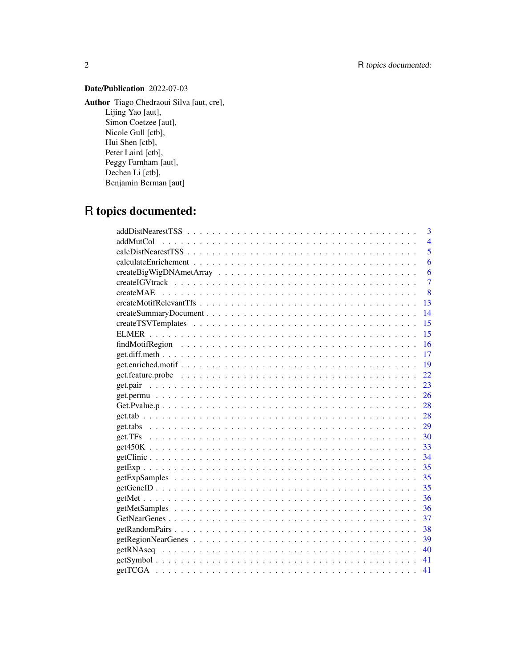# Date/Publication 2022-07-03

Author Tiago Chedraoui Silva [aut, cre],

Lijing Yao [aut], Simon Coetzee [aut], Nicole Gull [ctb], Hui Shen [ctb], Peter Laird [ctb], Peggy Farnham [aut], Dechen Li [ctb], Benjamin Berman [aut]

# R topics documented:

| 3              |                |
|----------------|----------------|
| addMutCol      | $\overline{4}$ |
|                | 5              |
| 6              |                |
| 6              |                |
| $\overline{7}$ |                |
| 8              |                |
| 13             |                |
| 14             |                |
| 15             |                |
| 15             |                |
| 16             |                |
| 17             |                |
| -19            |                |
| 22             |                |
|                |                |
|                |                |
| 28             |                |
|                |                |
| 29             |                |
|                |                |
|                |                |
|                |                |
|                |                |
|                |                |
|                |                |
|                |                |
|                |                |
| 37             |                |
| 38             |                |
|                |                |
| 40             |                |
| 41             |                |
| 41             |                |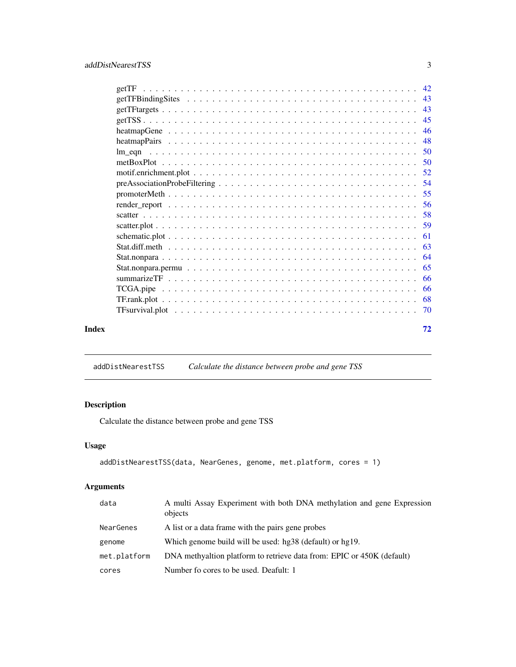<span id="page-2-0"></span>

| Index | 72 |
|-------|----|

addDistNearestTSS *Calculate the distance between probe and gene TSS*

# Description

Calculate the distance between probe and gene TSS

# Usage

```
addDistNearestTSS(data, NearGenes, genome, met.platform, cores = 1)
```
# Arguments

| data         | A multi Assay Experiment with both DNA methylation and gene Expression<br>objects |
|--------------|-----------------------------------------------------------------------------------|
| NearGenes    | A list or a data frame with the pairs gene probes                                 |
| genome       | Which genome build will be used: hg38 (default) or hg19.                          |
| met.platform | DNA methyaltion platform to retrieve data from: EPIC or 450K (default)            |
| cores        | Number fo cores to be used. Deafult: 1                                            |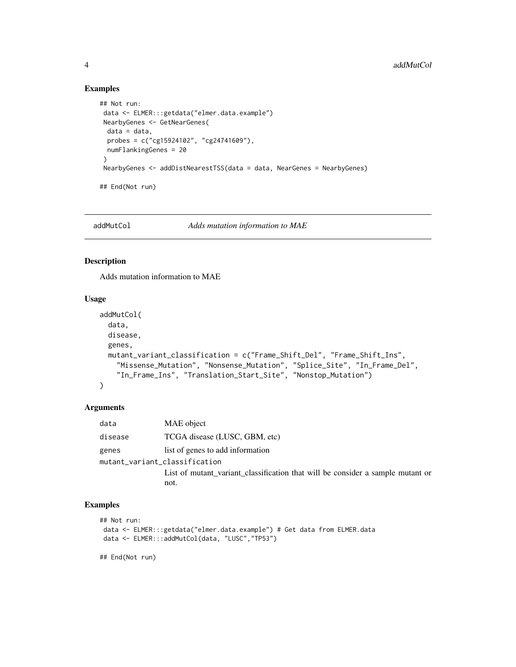# Examples

```
## Not run:
data <- ELMER:::getdata("elmer.data.example")
NearbyGenes <- GetNearGenes(
 data = data,
 probes = c("cg15924102", "cg24741609"),
 numFlankingGenes = 20
 )
NearbyGenes <- addDistNearestTSS(data = data, NearGenes = NearbyGenes)
## End(Not run)
```
addMutCol *Adds mutation information to MAE*

# Description

Adds mutation information to MAE

#### Usage

```
addMutCol(
 data,
 disease,
 genes,
 mutant_variant_classification = c("Frame_Shift_Del", "Frame_Shift_Ins",
    "Missense_Mutation", "Nonsense_Mutation", "Splice_Site", "In_Frame_Del",
    "In_Frame_Ins", "Translation_Start_Site", "Nonstop_Mutation")
\mathcal{L}
```
#### Arguments

| data                          | MAE object                                                                     |
|-------------------------------|--------------------------------------------------------------------------------|
| disease                       | TCGA disease (LUSC, GBM, etc)                                                  |
| genes                         | list of genes to add information                                               |
| mutant_variant_classification |                                                                                |
|                               | List of mutant variant classification that will be consider a sample mutant or |
|                               | not.                                                                           |

# Examples

```
## Not run:
data <- ELMER:::getdata("elmer.data.example") # Get data from ELMER.data
data <- ELMER:::addMutCol(data, "LUSC","TP53")
```
## End(Not run)

<span id="page-3-0"></span>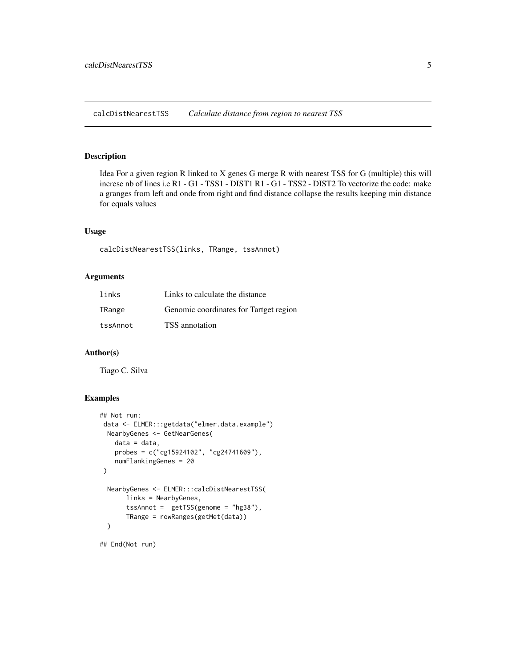<span id="page-4-0"></span>calcDistNearestTSS *Calculate distance from region to nearest TSS*

#### Description

Idea For a given region R linked to X genes G merge R with nearest TSS for G (multiple) this will increse nb of lines i.e R1 - G1 - TSS1 - DIST1 R1 - G1 - TSS2 - DIST2 To vectorize the code: make a granges from left and onde from right and find distance collapse the results keeping min distance for equals values

# Usage

calcDistNearestTSS(links, TRange, tssAnnot)

# Arguments

| links    | Links to calculate the distance        |
|----------|----------------------------------------|
| TRange   | Genomic coordinates for Tartget region |
| tssAnnot | TSS annotation                         |

# Author(s)

Tiago C. Silva

#### Examples

```
## Not run:
data <- ELMER:::getdata("elmer.data.example")
 NearbyGenes <- GetNearGenes(
   data = data,
   probes = c("cg15924102", "cg24741609"),
   numFlankingGenes = 20
)
 NearbyGenes <- ELMER:::calcDistNearestTSS(
      links = NearbyGenes,
       tssAnnot = getTSS(genome = "hg38"),
       TRange = rowRanges(getMet(data))
 \lambda
```
## End(Not run)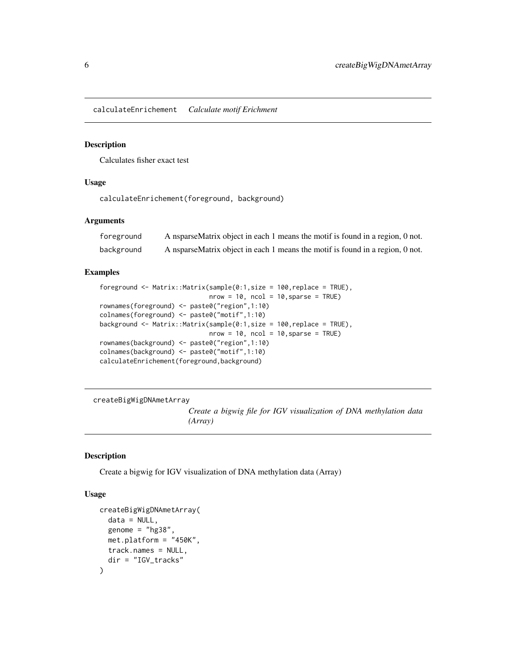<span id="page-5-0"></span>calculateEnrichement *Calculate motif Erichment*

#### Description

Calculates fisher exact test

#### Usage

calculateEnrichement(foreground, background)

#### Arguments

| foreground | A nsparseMatrix object in each 1 means the motif is found in a region, 0 not. |
|------------|-------------------------------------------------------------------------------|
| background | A nsparseMatrix object in each 1 means the motif is found in a region, 0 not. |

#### Examples

```
foreground <- Matrix::Matrix(sample(0:1,size = 100,replace = TRUE),
                             nrow = 10, ncol = 10, sparse = TRUE)
rownames(foreground) <- paste0("region",1:10)
colnames(foreground) <- paste0("motif",1:10)
background <- Matrix::Matrix(sample(0:1,size = 100,replace = TRUE),
                             nrow = 10, ncol = 10, sparse = TRUE)
rownames(background) <- paste0("region",1:10)
colnames(background) <- paste0("motif",1:10)
calculateEnrichement(foreground,background)
```
createBigWigDNAmetArray

*Create a bigwig file for IGV visualization of DNA methylation data (Array)*

#### Description

Create a bigwig for IGV visualization of DNA methylation data (Array)

```
createBigWigDNAmetArray(
  data = NULL,genome = "hg38",
 met.platform = "450K",
  track.names = NULL,
  dir = "IGV_tracks"
)
```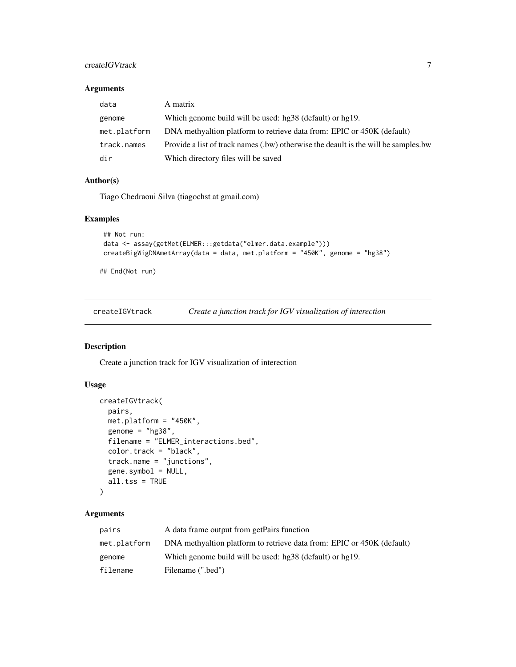# <span id="page-6-0"></span>createIGVtrack 7

### Arguments

| data         | A matrix                                                                           |
|--------------|------------------------------------------------------------------------------------|
| genome       | Which genome build will be used: hg38 (default) or hg19.                           |
| met.platform | DNA methyaltion platform to retrieve data from: EPIC or 450K (default)             |
| track.names  | Provide a list of track names (.bw) otherwise the deault is the will be samples.bw |
| dir          | Which directory files will be saved                                                |

#### Author(s)

Tiago Chedraoui Silva (tiagochst at gmail.com)

# Examples

```
## Not run:
data <- assay(getMet(ELMER:::getdata("elmer.data.example")))
createBigWigDNAmetArray(data = data, met.platform = "450K", genome = "hg38")
```
## End(Not run)

createIGVtrack *Create a junction track for IGV visualization of interection*

# Description

Create a junction track for IGV visualization of interection

# Usage

```
createIGVtrack(
  pairs,
  met.platform = "450K",
  genome = "hg38",
  filename = "ELMER_interactions.bed",
  color.track = "black",
  track.name = "junctions",
  gene.symbol = NULL,
  all.tss = TRUE
\mathcal{L}
```
# Arguments

| pairs        | A data frame output from getPairs function                             |
|--------------|------------------------------------------------------------------------|
| met.platform | DNA methyaltion platform to retrieve data from: EPIC or 450K (default) |
| genome       | Which genome build will be used: hg38 (default) or hg19.               |
| filename     | Filename (".bed")                                                      |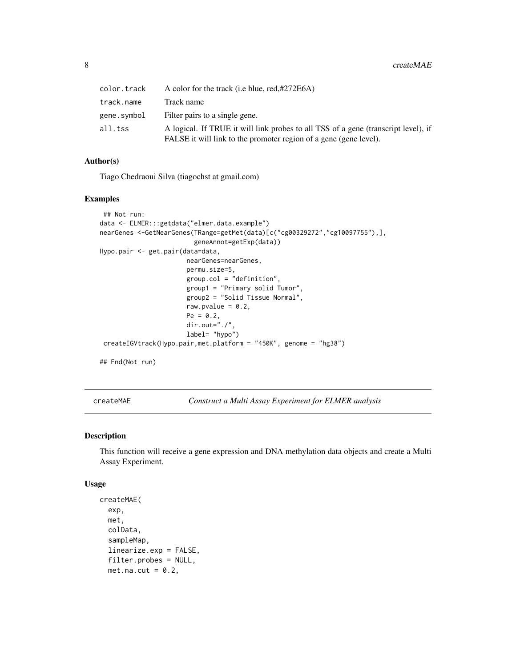<span id="page-7-0"></span>

| color.track | A color for the track (i.e blue, red,#272E6A)                                                                                                           |
|-------------|---------------------------------------------------------------------------------------------------------------------------------------------------------|
| track.name  | Track name                                                                                                                                              |
| gene.symbol | Filter pairs to a single gene.                                                                                                                          |
| all.tss     | A logical. If TRUE it will link probes to all TSS of a gene (transcript level), if<br>FALSE it will link to the promoter region of a gene (gene level). |

#### Author(s)

Tiago Chedraoui Silva (tiagochst at gmail.com)

# Examples

```
## Not run:
data <- ELMER:::getdata("elmer.data.example")
nearGenes <-GetNearGenes(TRange=getMet(data)[c("cg00329272","cg10097755"),],
                         geneAnnot=getExp(data))
Hypo.pair <- get.pair(data=data,
                       nearGenes=nearGenes,
                       permu.size=5,
                       group.col = "definition",
                       group1 = "Primary solid Tumor",
                       group2 = "Solid Tissue Normal",
                       raw.pvalue = 0.2,
                       Pe = 0.2,
                       dir.out="./"
                       label= "hypo")
 createIGVtrack(Hypo.pair,met.platform = "450K", genome = "hg38")
```
## End(Not run)

<span id="page-7-1"></span>createMAE *Construct a Multi Assay Experiment for ELMER analysis*

# Description

This function will receive a gene expression and DNA methylation data objects and create a Multi Assay Experiment.

```
createMAE(
  exp,
  met,
  colData,
  sampleMap,
  linearize.exp = FALSE,
  filter.probes = NULL,
  met.na.cut = 0.2,
```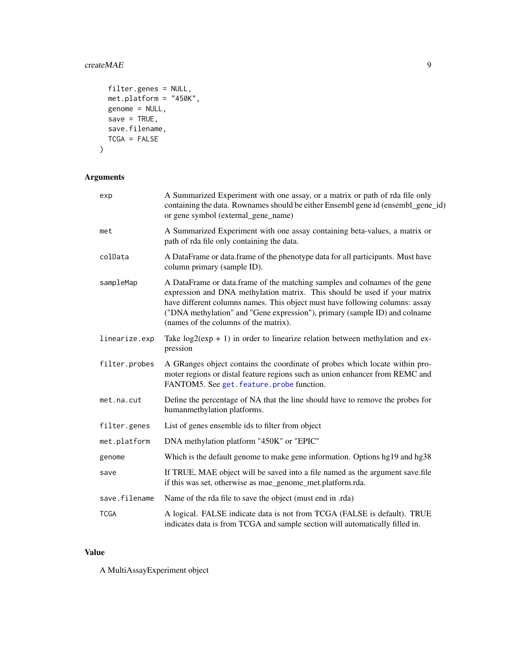#### $\epsilon$ reateMAE 9

```
filter.genes = NULL,
 met.platform = "450K",
 genome = NULL,save = TRUE,
 save.filename,
 TCGA = FALSE\mathcal{L}
```
# Arguments

| exp           | A Summarized Experiment with one assay, or a matrix or path of rda file only<br>containing the data. Rownames should be either Ensembl gene id (ensembl_gene_id)<br>or gene symbol (external_gene_name)                                                                                                                                                        |
|---------------|----------------------------------------------------------------------------------------------------------------------------------------------------------------------------------------------------------------------------------------------------------------------------------------------------------------------------------------------------------------|
| met           | A Summarized Experiment with one assay containing beta-values, a matrix or<br>path of rda file only containing the data.                                                                                                                                                                                                                                       |
| colData       | A DataFrame or data.frame of the phenotype data for all participants. Must have<br>column primary (sample ID).                                                                                                                                                                                                                                                 |
| sampleMap     | A DataFrame or data.frame of the matching samples and colnames of the gene<br>expression and DNA methylation matrix. This should be used if your matrix<br>have different columns names. This object must have following columns: assay<br>("DNA methylation" and "Gene expression"), primary (sample ID) and colname<br>(names of the columns of the matrix). |
| linearize.exp | Take $log2(exp + 1)$ in order to linearize relation between methylation and ex-<br>pression                                                                                                                                                                                                                                                                    |
| filter.probes | A GRanges object contains the coordinate of probes which locate within pro-<br>moter regions or distal feature regions such as union enhancer from REMC and<br>FANTOM5. See get. feature. probe function.                                                                                                                                                      |
| met.na.cut    | Define the percentage of NA that the line should have to remove the probes for<br>humanmethylation platforms.                                                                                                                                                                                                                                                  |
| filter.genes  | List of genes ensemble ids to filter from object                                                                                                                                                                                                                                                                                                               |
| met.platform  | DNA methylation platform "450K" or "EPIC"                                                                                                                                                                                                                                                                                                                      |
| genome        | Which is the default genome to make gene information. Options hg19 and hg38                                                                                                                                                                                                                                                                                    |
| save          | If TRUE, MAE object will be saved into a file named as the argument save.file<br>if this was set, otherwise as mae_genome_met.platform.rda.                                                                                                                                                                                                                    |
| save.filename | Name of the rda file to save the object (must end in .rda)                                                                                                                                                                                                                                                                                                     |
| TCGA          | A logical. FALSE indicate data is not from TCGA (FALSE is default). TRUE<br>indicates data is from TCGA and sample section will automatically filled in.                                                                                                                                                                                                       |

# Value

A MultiAssayExperiment object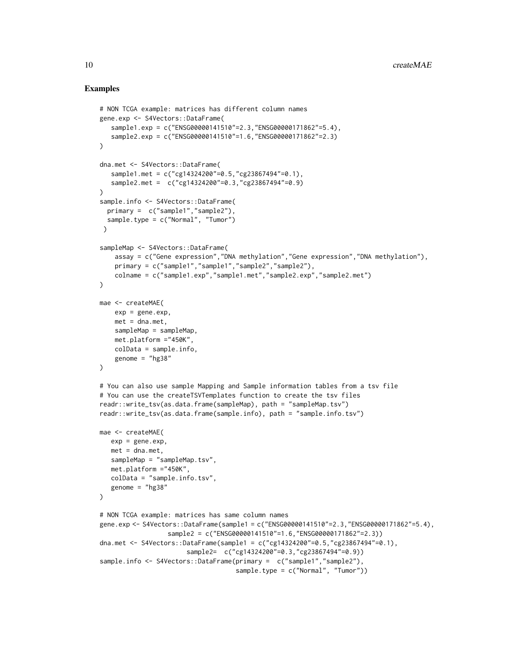#### Examples

```
# NON TCGA example: matrices has different column names
gene.exp <- S4Vectors::DataFrame(
   sample1.exp = c("ENSG00000141510"=2.3,"ENSG00000171862"=5.4),
   sample2.exp = c("ENSG00000141510"=1.6,"ENSG00000171862"=2.3)
\lambdadna.met <- S4Vectors::DataFrame(
   sample1.met = c("cg14324200"=0.5,"cg23867494"=0.1),
   sample2.met = c("cg14324200"=0.3,"cg23867494"=0.9)
)
sample.info <- S4Vectors::DataFrame(
  primary = c("sample1","sample2"),
  sample.type = c("Normal", "Tumor")
 \lambdasampleMap <- S4Vectors::DataFrame(
    assay = c("Gene expression","DNA methylation","Gene expression","DNA methylation"),
    primary = c("sample1","sample1","sample2","sample2"),
    colname = c("sample1.exp","sample1.met","sample2.exp","sample2.met")
)
mae <- createMAE(
   exp = gene.exp,met = dna.net,
   sampleMap = sampleMap,
    met.platform ="450K",
    colData = sample.info,
    genome = "hg38")
# You can also use sample Mapping and Sample information tables from a tsv file
# You can use the createTSVTemplates function to create the tsv files
readr::write_tsv(as.data.frame(sampleMap), path = "sampleMap.tsv")
readr::write_tsv(as.data.frame(sample.info), path = "sample.info.tsv")
mae <- createMAE(
  exp = gene.exp,
   met = dna.net,
   sampleMap = "sampleMap.tsv",
   met.platform ="450K",
   colData = "sample.info.tsv",
   genome = "hg38"
\mathcal{L}# NON TCGA example: matrices has same column names
gene.exp <- S4Vectors::DataFrame(sample1 = c("ENSG00000141510"=2.3,"ENSG00000171862"=5.4),
                  sample2 = c("ENSG00000141510"=1.6,"ENSG00000171862"=2.3))
dna.met <- S4Vectors::DataFrame(sample1 = c("cg14324200" = 0.5," cg23867494" = 0.1),sample2= c("cg14324200"=0.3,"cg23867494"=0.9))
sample.info <- S4Vectors::DataFrame(primary = c("sample1","sample2"),
                                    sample.type = c("Normal", "Tumor"))
```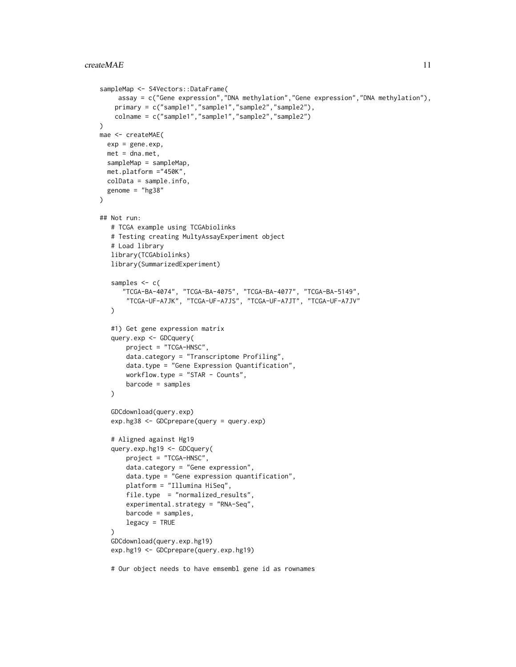```
sampleMap <- S4Vectors::DataFrame(
    assay = c("Gene expression","DNA methylation","Gene expression","DNA methylation"),
    primary = c("sample1","sample1","sample2","sample2"),
   colname = c("sample1","sample1","sample2","sample2")
\lambdamae <- createMAE(
 exp = gene.exp,met = dna.met,
  sampleMap = sampleMap,
  met.platform ="450K",
  colData = sample.info,
  genome = "hg38"
)
## Not run:
   # TCGA example using TCGAbiolinks
   # Testing creating MultyAssayExperiment object
   # Load library
   library(TCGAbiolinks)
   library(SummarizedExperiment)
   samples <-c("TCGA-BA-4074", "TCGA-BA-4075", "TCGA-BA-4077", "TCGA-BA-5149",
       "TCGA-UF-A7JK", "TCGA-UF-A7JS", "TCGA-UF-A7JT", "TCGA-UF-A7JV"
   )
   #1) Get gene expression matrix
   query.exp <- GDCquery(
       project = "TCGA-HNSC",
       data.category = "Transcriptome Profiling",
       data.type = "Gene Expression Quantification",
       workflow.type = "STAR - Counts",
       barcode = samples
   )
   GDCdownload(query.exp)
   exp.hg38 <- GDCprepare(query = query.exp)
   # Aligned against Hg19
   query.exp.hg19 <- GDCquery(
       project = "TCGA-HNSC",
       data.category = "Gene expression",
       data.type = "Gene expression quantification",
       platform = "Illumina HiSeq",
       file.type = "normalized_results",
       experimental.strategy = "RNA-Seq",
       barcode = samples,
       legacy = TRUE
   \lambdaGDCdownload(query.exp.hg19)
   exp.hg19 <- GDCprepare(query.exp.hg19)
   # Our object needs to have emsembl gene id as rownames
```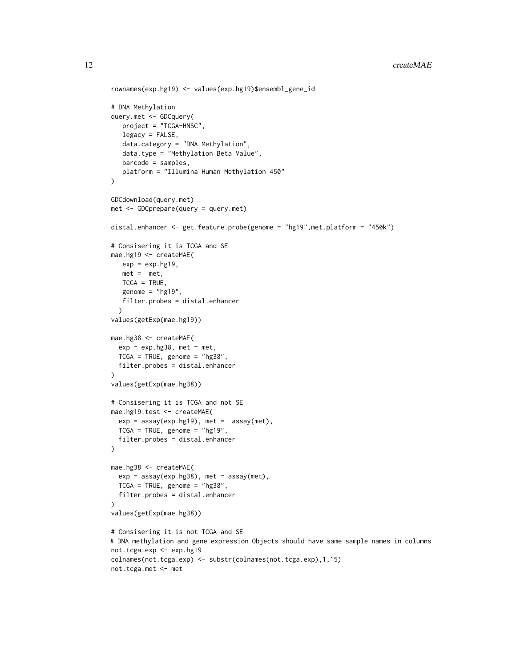```
rownames(exp.hg19) <- values(exp.hg19)$ensembl_gene_id
# DNA Methylation
query.met <- GDCquery(
   project = "TCGA-HNSC",
   legacy = FALSE,
   data.category = "DNA Methylation",
   data.type = "Methylation Beta Value",
   barcode = samples,
   platform = "Illumina Human Methylation 450"
)
GDCdownload(query.met)
met <- GDCprepare(query = query.met)
distal.enhancer <- get.feature.probe(genome = "hg19",met.platform = "450k")
# Consisering it is TCGA and SE
mae.hg19 <- createMAE(
   exp = exp.hg19,
   met = met,TCGA = TRUE,
   genome = "hg19",
  filter.probes = distal.enhancer
  )
values(getExp(mae.hg19))
mae.hg38 <- createMAE(
  exp = exp.hg38, met = met,
  TCGA = TRUE, genome = "hg38",
  filter.probes = distal.enhancer
\lambdavalues(getExp(mae.hg38))
# Consisering it is TCGA and not SE
mae.hg19.test <- createMAE(
  exp = assay(exp.hg19), met = assay(met),
  TCGA = TRUE, genome = "hg19",
  filter.probes = distal.enhancer
\lambdamae.hg38 <- createMAE(
  exp = assay(exp.hg38), met = assay(met),
  TCGA = TRUE, genome = "hg38",
  filter.probes = distal.enhancer
)
values(getExp(mae.hg38))
# Consisering it is not TCGA and SE
# DNA methylation and gene expression Objects should have same sample names in columns
not.tcga.exp <- exp.hg19
colnames(not.tcga.exp) <- substr(colnames(not.tcga.exp),1,15)
not.tcga.met <- met
```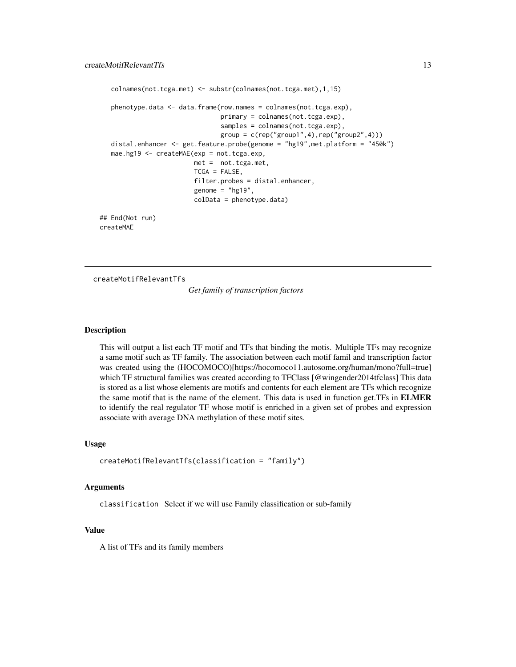```
colnames(not.tcga.met) <- substr(colnames(not.tcga.met),1,15)
  phenotype.data <- data.frame(row.names = colnames(not.tcga.exp),
                                primary = colnames(not.tcga.exp),
                                samples = colnames(not.tcga.exp),
                                group = c(rep("group1", 4), rep("group2", 4)))distal.enhancer <- get.feature.probe(genome = "hg19",met.platform = "450k")
  mae.hg19 <- createMAE(exp = not.tcga.exp,
                         met = not.tcga.met,
                         TCGA = FALSE,
                         filter.probes = distal.enhancer,
                         genome = "hg19",
                         colData = phenotype.data)
## End(Not run)
```
createMAE

createMotifRelevantTfs

*Get family of transcription factors*

#### **Description**

This will output a list each TF motif and TFs that binding the motis. Multiple TFs may recognize a same motif such as TF family. The association between each motif famil and transcription factor was created using the (HOCOMOCO)[https://hocomoco11.autosome.org/human/mono?full=true] which TF structural families was created according to TFClass [@wingender2014tfclass] This data is stored as a list whose elements are motifs and contents for each element are TFs which recognize the same motif that is the name of the element. This data is used in function get.TFs in **ELMER** to identify the real regulator TF whose motif is enriched in a given set of probes and expression associate with average DNA methylation of these motif sites.

#### Usage

```
createMotifRelevantTfs(classification = "family")
```
#### Arguments

classification Select if we will use Family classification or sub-family

#### Value

A list of TFs and its family members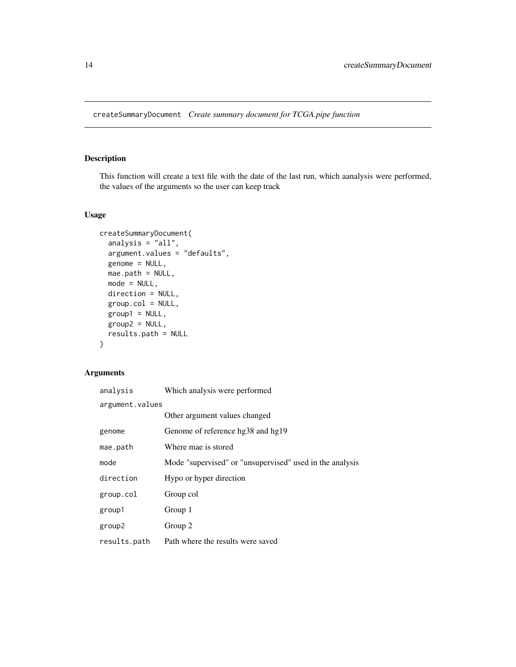<span id="page-13-0"></span>createSummaryDocument *Create summary document for TCGA.pipe function*

#### Description

This function will create a text file with the date of the last run, which aanalysis were performed, the values of the arguments so the user can keep track

# Usage

```
createSummaryDocument(
  analysis = "all",
  argument.values = "defaults",
 genome = NULL,
 mae.path = NULL,mode = NULL,direction = NULL,
 group.col = NULL,
 group1 = NULL,group2 = NULL,
 results.path = NULL
)
```
# Arguments

| analysis        | Which analysis were performed                            |  |
|-----------------|----------------------------------------------------------|--|
| argument.values |                                                          |  |
|                 | Other argument values changed                            |  |
| genome          | Genome of reference hg38 and hg19                        |  |
| mae.path        | Where mae is stored                                      |  |
| mode            | Mode "supervised" or "unsupervised" used in the analysis |  |
| direction       | Hypo or hyper direction                                  |  |
| group.col       | Group col                                                |  |
| group1          | Group 1                                                  |  |
| group2          | Group 2                                                  |  |
| results.path    | Path where the results were saved                        |  |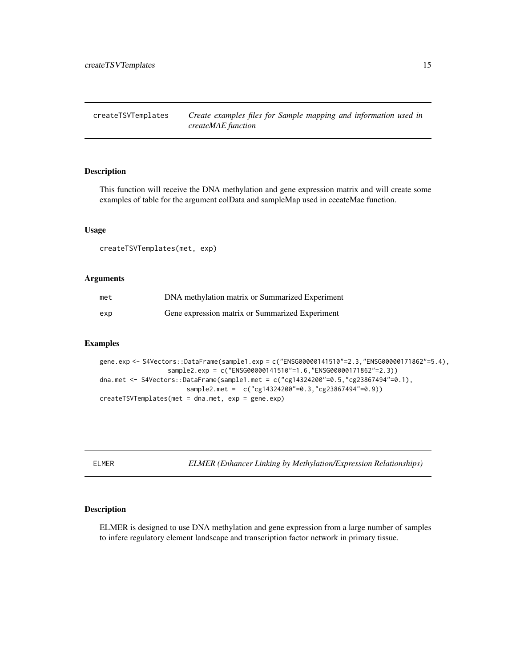<span id="page-14-0"></span>createTSVTemplates *Create examples files for Sample mapping and information used in createMAE function*

# Description

This function will receive the DNA methylation and gene expression matrix and will create some examples of table for the argument colData and sampleMap used in ceeateMae function.

#### Usage

createTSVTemplates(met, exp)

# Arguments

| met | DNA methylation matrix or Summarized Experiment |
|-----|-------------------------------------------------|
| exp | Gene expression matrix or Summarized Experiment |

# Examples

```
gene.exp <- S4Vectors::DataFrame(sample1.exp = c("ENSG00000141510"=2.3,"ENSG00000171862"=5.4),
                  sample2.exp = c("ENSG00000141510"=1.6,"ENSG00000171862"=2.3))
dna.met <- S4Vectors::DataFrame(sample1.met = c("cg14324200"=0.5,"cg23867494"=0.1),
                       sample2.met = c("cg14324200"=0.3,"cg23867494"=0.9))
createTSVTemplates(met = dna.met, exp = gene.exp)
```
ELMER *ELMER (Enhancer Linking by Methylation/Expression Relationships)*

# **Description**

ELMER is designed to use DNA methylation and gene expression from a large number of samples to infere regulatory element landscape and transcription factor network in primary tissue.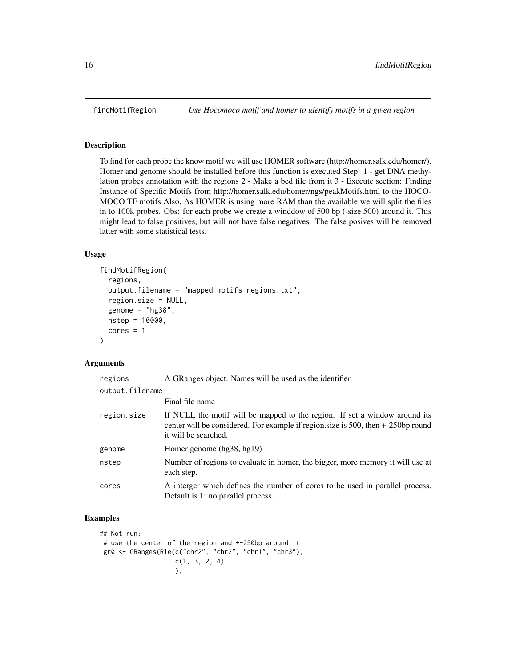#### Description

To find for each probe the know motif we will use HOMER software (http://homer.salk.edu/homer/). Homer and genome should be installed before this function is executed Step: 1 - get DNA methylation probes annotation with the regions 2 - Make a bed file from it 3 - Execute section: Finding Instance of Specific Motifs from http://homer.salk.edu/homer/ngs/peakMotifs.html to the HOCO-MOCO TF motifs Also, As HOMER is using more RAM than the available we will split the files in to 100k probes. Obs: for each probe we create a winddow of 500 bp (-size 500) around it. This might lead to false positives, but will not have false negatives. The false posives will be removed latter with some statistical tests.

# Usage

```
findMotifRegion(
  regions,
  output.filename = "mapped_motifs_regions.txt",
  region.size = NULL,
  genome = "hg38",
  nstep = 10000,
  cores = 1)
```
# Arguments

| regions         | A GRanges object. Names will be used as the identifier.                                                                                                                                |  |
|-----------------|----------------------------------------------------------------------------------------------------------------------------------------------------------------------------------------|--|
| output.filename |                                                                                                                                                                                        |  |
|                 | Final file name                                                                                                                                                                        |  |
| region.size     | If NULL the motif will be mapped to the region. If set a window around its<br>center will be considered. For example if region size is 500, then +-250bp round<br>it will be searched. |  |
| genome          | Homer genome (hg38, hg19)                                                                                                                                                              |  |
| nstep           | Number of regions to evaluate in homer, the bigger, more memory it will use at<br>each step.                                                                                           |  |
| cores           | A interger which defines the number of cores to be used in parallel process.<br>Default is 1: no parallel process.                                                                     |  |

# Examples

```
## Not run:
# use the center of the region and +-250bp around it
gr0 <- GRanges(Rle(c("chr2", "chr2", "chr1", "chr3"),
                   c(1, 3, 2, 4)),
```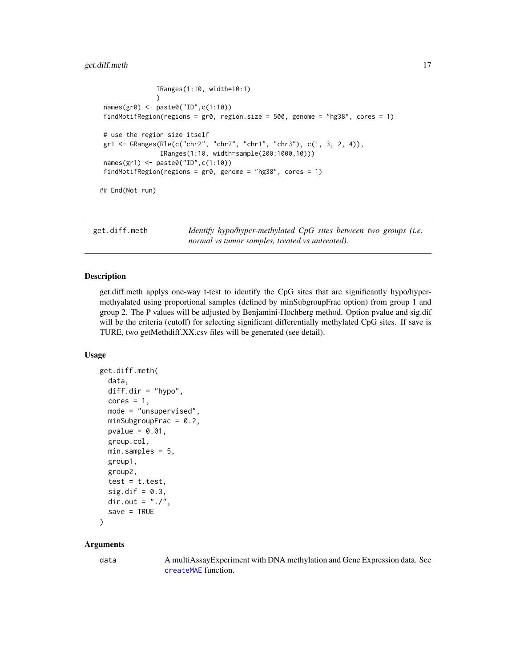# <span id="page-16-0"></span>get.diff.meth 17

```
IRanges(1:10, width=10:1)
               )
names(gr0) <- paste0("ID",c(1:10))
findMotifRegion(regions = gr0, region.size = 500, genome = "hg38", cores = 1)
# use the region size itself
gr1 <- GRanges(Rle(c("chr2", "chr2", "chr1", "chr3"), c(1, 3, 2, 4)),
               IRanges(1:10, width=sample(200:1000,10)))
names(gr1) <- paste0("ID",c(1:10))
findMotifRegion(regions = gr0, genome = "hg38", cores = 1)
## End(Not run)
```
get.diff.meth *Identify hypo/hyper-methylated CpG sites between two groups (i.e. normal vs tumor samples, treated vs untreated).*

#### Description

get.diff.meth applys one-way t-test to identify the CpG sites that are significantly hypo/hypermethyalated using proportional samples (defined by minSubgroupFrac option) from group 1 and group 2. The P values will be adjusted by Benjamini-Hochberg method. Option pvalue and sig.dif will be the criteria (cutoff) for selecting significant differentially methylated CpG sites. If save is TURE, two getMethdiff.XX.csv files will be generated (see detail).

#### Usage

```
get.diff.meth(
  data,
  diff.dim = "hypo",cores = 1,mode = "unsupervised",
 minSubgroupFrac = 0.2,
 pvalue = 0.01,
  group.col,
 min.samples = 5,
  group1,
  group2,
  test = t.test,sig.dif = 0.3,dir.out = ".'".save = TRUE)
```
#### Arguments

data A multiAssayExperiment with DNA methylation and Gene Expression data. See [createMAE](#page-7-1) function.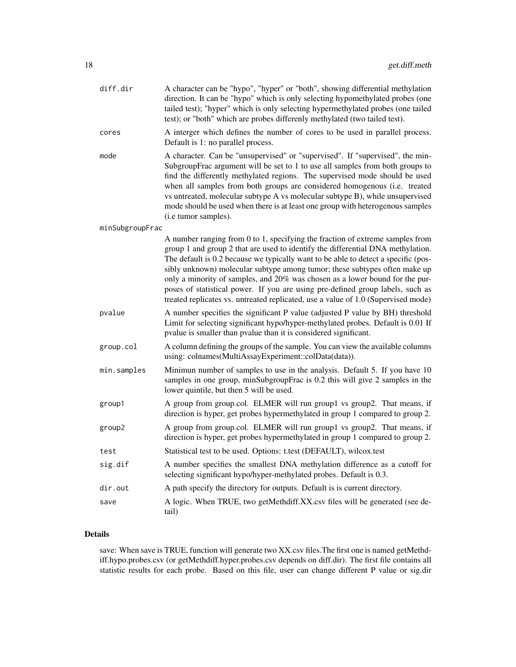| diff.dir        | A character can be "hypo", "hyper" or "both", showing differential methylation<br>direction. It can be "hypo" which is only selecting hypomethylated probes (one<br>tailed test); "hyper" which is only selecting hypermethylated probes (one tailed<br>test); or "both" which are probes differenly methylated (two tailed test).                                                                                                                                                                                                                                                          |
|-----------------|---------------------------------------------------------------------------------------------------------------------------------------------------------------------------------------------------------------------------------------------------------------------------------------------------------------------------------------------------------------------------------------------------------------------------------------------------------------------------------------------------------------------------------------------------------------------------------------------|
| cores           | A interger which defines the number of cores to be used in parallel process.<br>Default is 1: no parallel process.                                                                                                                                                                                                                                                                                                                                                                                                                                                                          |
| mode            | A character. Can be "unsupervised" or "supervised". If "supervised", the min-<br>SubgroupFrac argument will be set to 1 to use all samples from both groups to<br>find the differently methylated regions. The supervised mode should be used<br>when all samples from both groups are considered homogenous (i.e. treated<br>vs untreated, molecular subtype A vs molecular subtype B), while unsupervised<br>mode should be used when there is at least one group with heterogenous samples<br>(i.e tumor samples).                                                                       |
| minSubgroupFrac |                                                                                                                                                                                                                                                                                                                                                                                                                                                                                                                                                                                             |
|                 | A number ranging from 0 to 1, specifying the fraction of extreme samples from<br>group 1 and group 2 that are used to identify the differential DNA methylation.<br>The default is 0.2 because we typically want to be able to detect a specific (pos-<br>sibly unknown) molecular subtype among tumor; these subtypes often make up<br>only a minority of samples, and 20% was chosen as a lower bound for the pur-<br>poses of statistical power. If you are using pre-defined group labels, such as<br>treated replicates vs. untreated replicated, use a value of 1.0 (Supervised mode) |
| pvalue          | A number specifies the significant P value (adjusted P value by BH) threshold<br>Limit for selecting significant hypo/hyper-methylated probes. Default is 0.01 If<br>pvalue is smaller than pvalue than it is considered significant.                                                                                                                                                                                                                                                                                                                                                       |
| group.col       | A column defining the groups of the sample. You can view the available columns<br>using: colnames(MultiAssayExperiment::colData(data)).                                                                                                                                                                                                                                                                                                                                                                                                                                                     |
| min.samples     | Minimun number of samples to use in the analysis. Default 5. If you have 10<br>samples in one group, minSubgroupFrac is 0.2 this will give 2 samples in the<br>lower quintile, but then 5 will be used.                                                                                                                                                                                                                                                                                                                                                                                     |
| group1          | A group from group.col. ELMER will run group1 vs group2. That means, if<br>direction is hyper, get probes hypermethylated in group 1 compared to group 2.                                                                                                                                                                                                                                                                                                                                                                                                                                   |
| group2          | A group from group.col. ELMER will run group1 vs group2. That means, if<br>direction is hyper, get probes hypermethylated in group 1 compared to group 2.                                                                                                                                                                                                                                                                                                                                                                                                                                   |
| test            | Statistical test to be used. Options: t.test (DEFAULT), wilcox.test                                                                                                                                                                                                                                                                                                                                                                                                                                                                                                                         |
| sig.dif         | A number specifies the smallest DNA methylation difference as a cutoff for<br>selecting significant hypo/hyper-methylated probes. Default is 0.3.                                                                                                                                                                                                                                                                                                                                                                                                                                           |
| dir.out         | A path specify the directory for outputs. Default is is current directory.                                                                                                                                                                                                                                                                                                                                                                                                                                                                                                                  |
| save            | A logic. When TRUE, two getMethdiff.XX.csv files will be generated (see de-<br>tail)                                                                                                                                                                                                                                                                                                                                                                                                                                                                                                        |

# Details

save: When save is TRUE, function will generate two XX.csv files.The first one is named getMethdiff.hypo.probes.csv (or getMethdiff.hyper.probes.csv depends on diff.dir). The first file contains all statistic results for each probe. Based on this file, user can change different P value or sig.dir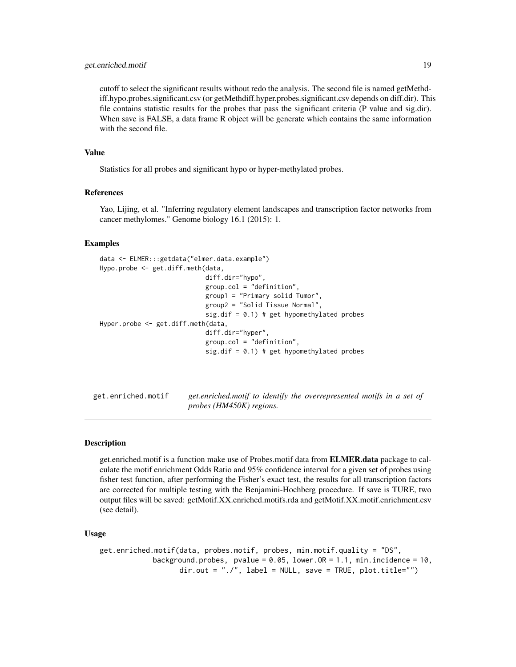# <span id="page-18-0"></span>get.enriched.motif 19

cutoff to select the significant results without redo the analysis. The second file is named getMethdiff.hypo.probes.significant.csv (or getMethdiff.hyper.probes.significant.csv depends on diff.dir). This file contains statistic results for the probes that pass the significant criteria (P value and sig.dir). When save is FALSE, a data frame R object will be generate which contains the same information with the second file.

# Value

Statistics for all probes and significant hypo or hyper-methylated probes.

#### References

Yao, Lijing, et al. "Inferring regulatory element landscapes and transcription factor networks from cancer methylomes." Genome biology 16.1 (2015): 1.

#### Examples

```
data <- ELMER:::getdata("elmer.data.example")
Hypo.probe <- get.diff.meth(data,
                            diff.dir="hypo",
                            group.col = "definition",
                            group1 = "Primary solid Tumor",
                            group2 = "Solid Tissue Normal",
                            sig.dif = 0.1) # get hypomethylated probes
Hyper.probe <- get.diff.meth(data,
                            diff.dir="hyper",
                            group.col = "definition",
                            sig.dif = 0.1) # get hypomethylated probes
```
get.enriched.motif *get.enriched.motif to identify the overrepresented motifs in a set of probes (HM450K) regions.*

# Description

get.enriched.motif is a function make use of Probes.motif data from ELMER.data package to calculate the motif enrichment Odds Ratio and 95% confidence interval for a given set of probes using fisher test function, after performing the Fisher's exact test, the results for all transcription factors are corrected for multiple testing with the Benjamini-Hochberg procedure. If save is TURE, two output files will be saved: getMotif.XX.enriched.motifs.rda and getMotif.XX.motif.enrichment.csv (see detail).

```
get.enriched.motif(data, probes.motif, probes, min.motif.quality = "DS",
            background.probes, pvalue = 0.05, lower.OR = 1.1, min.incidence = 10,
                   dir.out = "./", label = NULL, save = TRUE, plot.title="")
```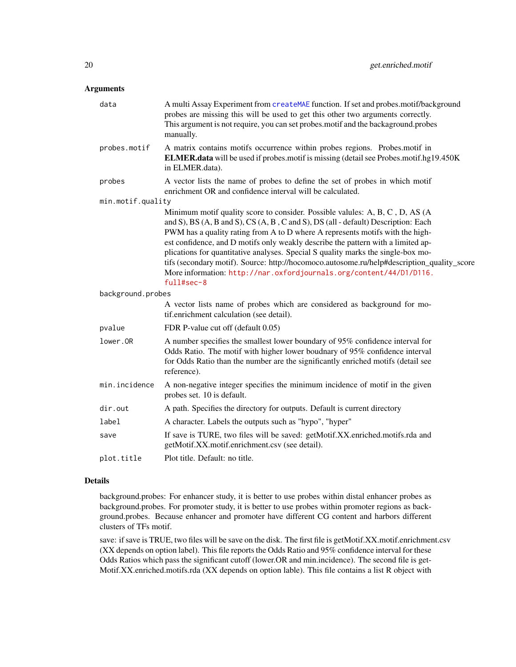# Arguments

| data              | A multi Assay Experiment from createMAE function. If set and probes.motif/background<br>probes are missing this will be used to get this other two arguments correctly.<br>This argument is not require, you can set probes.motif and the backaground.probes<br>manually.                                                                                 |
|-------------------|-----------------------------------------------------------------------------------------------------------------------------------------------------------------------------------------------------------------------------------------------------------------------------------------------------------------------------------------------------------|
| probes.motif      | A matrix contains motifs occurrence within probes regions. Probes.motif in<br><b>ELMER.data</b> will be used if probes.motif is missing (detail see Probes.motif.hg19.450K)<br>in ELMER.data).                                                                                                                                                            |
| probes            | A vector lists the name of probes to define the set of probes in which motif<br>enrichment OR and confidence interval will be calculated.                                                                                                                                                                                                                 |
| min.motif.quality |                                                                                                                                                                                                                                                                                                                                                           |
|                   | Minimum motif quality score to consider. Possible valules: A, B, C, D, AS (A<br>and S), BS (A, B and S), CS (A, B, C and S), DS (all - default) Description: Each<br>PWM has a quality rating from A to D where A represents motifs with the high-                                                                                                        |
|                   | est confidence, and D motifs only weakly describe the pattern with a limited ap-<br>plications for quantitative analyses. Special S quality marks the single-box mo-<br>tifs (secondary motif). Source: http://hocomoco.autosome.ru/help#description_quality_score<br>More information: http://nar.oxfordjournals.org/content/44/D1/D116.<br>$full#sec-8$ |
| background.probes |                                                                                                                                                                                                                                                                                                                                                           |
|                   | A vector lists name of probes which are considered as background for mo-<br>tif.enrichment calculation (see detail).                                                                                                                                                                                                                                      |
| pvalue            | FDR P-value cut off (default 0.05)                                                                                                                                                                                                                                                                                                                        |
| lower.OR          | A number specifies the smallest lower boundary of 95% confidence interval for<br>Odds Ratio. The motif with higher lower boudnary of 95% confidence interval<br>for Odds Ratio than the number are the significantly enriched motifs (detail see<br>reference).                                                                                           |
| min.incidence     | A non-negative integer specifies the minimum incidence of motif in the given<br>probes set. 10 is default.                                                                                                                                                                                                                                                |
| dir.out           | A path. Specifies the directory for outputs. Default is current directory                                                                                                                                                                                                                                                                                 |
| label             | A character. Labels the outputs such as "hypo", "hyper"                                                                                                                                                                                                                                                                                                   |
| save              | If save is TURE, two files will be saved: getMotif.XX.enriched.motifs.rda and<br>getMotif.XX.motif.enrichment.csv (see detail).                                                                                                                                                                                                                           |
| plot.title        | Plot title. Default: no title.                                                                                                                                                                                                                                                                                                                            |

#### Details

background.probes: For enhancer study, it is better to use probes within distal enhancer probes as background.probes. For promoter study, it is better to use probes within promoter regions as background.probes. Because enhancer and promoter have different CG content and harbors different clusters of TFs motif.

save: if save is TRUE, two files will be save on the disk. The first file is getMotif.XX.motif.enrichment.csv (XX depends on option label). This file reports the Odds Ratio and 95% confidence interval for these Odds Ratios which pass the significant cutoff (lower.OR and min.incidence). The second file is get-Motif.XX.enriched.motifs.rda (XX depends on option lable). This file contains a list R object with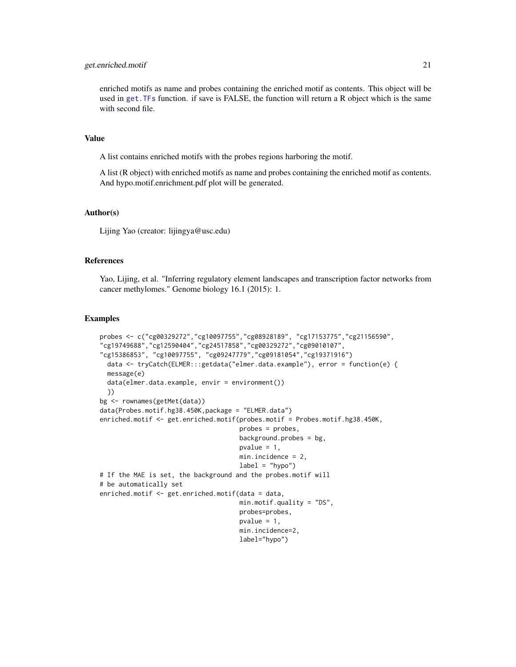#### get.enriched.motif 21

enriched motifs as name and probes containing the enriched motif as contents. This object will be used in [get.TFs](#page-29-1) function. if save is FALSE, the function will return a R object which is the same with second file.

#### Value

A list contains enriched motifs with the probes regions harboring the motif.

A list (R object) with enriched motifs as name and probes containing the enriched motif as contents. And hypo.motif.enrichment.pdf plot will be generated.

#### Author(s)

Lijing Yao (creator: lijingya@usc.edu)

#### References

Yao, Lijing, et al. "Inferring regulatory element landscapes and transcription factor networks from cancer methylomes." Genome biology 16.1 (2015): 1.

# Examples

```
probes <- c("cg00329272","cg10097755","cg08928189", "cg17153775","cg21156590",
"cg19749688","cg12590404","cg24517858","cg00329272","cg09010107",
"cg15386853", "cg10097755", "cg09247779","cg09181054","cg19371916")
 data <- tryCatch(ELMER:::getdata("elmer.data.example"), error = function(e) {
 message(e)
 data(elmer.data.example, envir = environment())
 })
bg <- rownames(getMet(data))
data(Probes.motif.hg38.450K,package = "ELMER.data")
enriched.motif <- get.enriched.motif(probes.motif = Probes.motif.hg38.450K,
                                     probes = probes,
                                     background.probes = bg,
                                     pvalue = 1,
                                     min.incidence = 2,
                                     label = "hypo"# If the MAE is set, the background and the probes.motif will
# be automatically set
enriched.motif <- get.enriched.motif(data = data,
                                     min.motif.quality = "DS",
                                     probes=probes,
                                     pvalue = 1,
                                     min.incidence=2,
                                     label="hypo")
```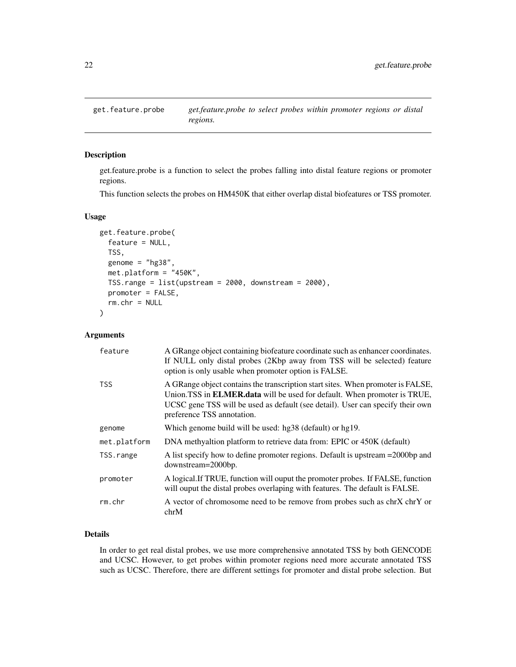<span id="page-21-1"></span><span id="page-21-0"></span>

#### Description

get.feature.probe is a function to select the probes falling into distal feature regions or promoter regions.

This function selects the probes on HM450K that either overlap distal biofeatures or TSS promoter.

#### Usage

```
get.feature.probe(
  feature = NULL,
 TSS,
  genome = "hg38",
 met.platform = "450K",
 TSS.range = list(upstream = 2000, downstream = 2000),
 promoter = FALSE,
  rm.chr = NULL)
```
#### Arguments

| feature      | A GRange object containing biofeature coordinate such as enhancer coordinates.<br>If NULL only distal probes (2Kbp away from TSS will be selected) feature<br>option is only usable when promoter option is FALSE.                                                          |
|--------------|-----------------------------------------------------------------------------------------------------------------------------------------------------------------------------------------------------------------------------------------------------------------------------|
| <b>TSS</b>   | A GRange object contains the transcription start sites. When promoter is FALSE,<br>Union.TSS in ELMER.data will be used for default. When promoter is TRUE,<br>UCSC gene TSS will be used as default (see detail). User can specify their own<br>preference TSS annotation. |
| genome       | Which genome build will be used: hg38 (default) or hg19.                                                                                                                                                                                                                    |
| met.platform | DNA methyaltion platform to retrieve data from: EPIC or 450K (default)                                                                                                                                                                                                      |
| TSS.range    | A list specify how to define promoter regions. Default is upstream = 2000 bp and<br>downstream=2000bp.                                                                                                                                                                      |
| promoter     | A logical. If TRUE, function will ouput the promoter probes. If FALSE, function<br>will ouput the distal probes overlaping with features. The default is FALSE.                                                                                                             |
| rm.chr       | A vector of chromosome need to be remove from probes such as chrX chrY or<br>chrM                                                                                                                                                                                           |

#### Details

In order to get real distal probes, we use more comprehensive annotated TSS by both GENCODE and UCSC. However, to get probes within promoter regions need more accurate annotated TSS such as UCSC. Therefore, there are different settings for promoter and distal probe selection. But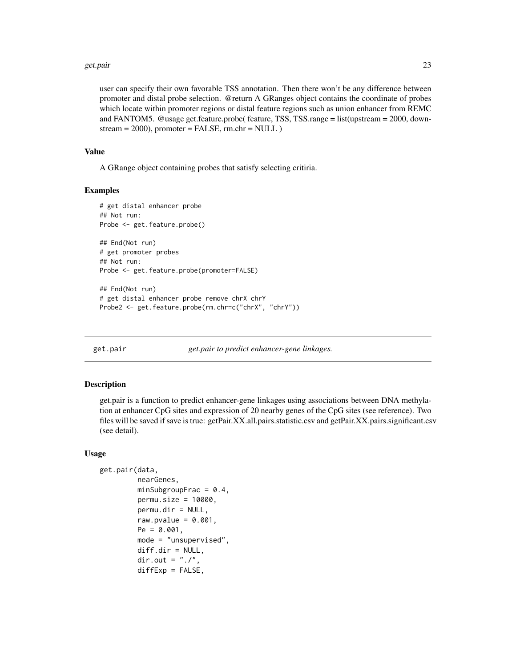#### <span id="page-22-0"></span>get.pair 23

user can specify their own favorable TSS annotation. Then there won't be any difference between promoter and distal probe selection. @return A GRanges object contains the coordinate of probes which locate within promoter regions or distal feature regions such as union enhancer from REMC and FANTOM5. @usage get.feature.probe( feature, TSS, TSS.range = list(upstream = 2000, down $stream = 2000$ , promoter = FALSE, rm.chr = NULL )

#### Value

A GRange object containing probes that satisfy selecting critiria.

#### Examples

```
# get distal enhancer probe
## Not run:
Probe <- get.feature.probe()
## End(Not run)
# get promoter probes
## Not run:
Probe <- get.feature.probe(promoter=FALSE)
## End(Not run)
```
# get distal enhancer probe remove chrX chrY Probe2 <- get.feature.probe(rm.chr=c("chrX", "chrY"))

get.pair *get.pair to predict enhancer-gene linkages.*

#### Description

get.pair is a function to predict enhancer-gene linkages using associations between DNA methylation at enhancer CpG sites and expression of 20 nearby genes of the CpG sites (see reference). Two files will be saved if save is true: getPair.XX.all.pairs.statistic.csv and getPair.XX.pairs.significant.csv (see detail).

```
get.pair(data,
```

```
nearGenes,
minSubgroupFrac = 0.4,
permu.size = 10000,
permu.dir = NULL,
raw.pvalue = 0.001,
Pe = 0.001,
mode = "unsupervised",
diff.dir = NULL,
dir.out = ".'",diffExp = FALSE,
```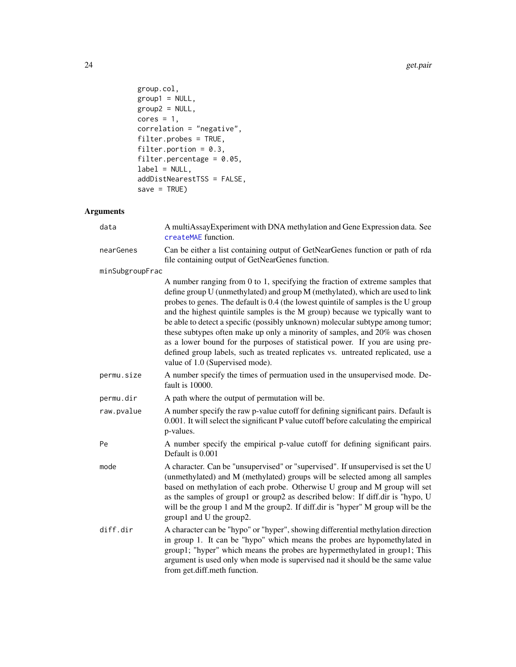```
group.col,
group1 = NULL,\frac{1}{2} proup2 = NULL,
cores = 1,
correlation = "negative",
filter.probes = TRUE,
filter.portion = 0.3,
filter.percentage = 0.05,
label = NULL,addDistNearestTSS = FALSE,
save = TRUE)
```
# Arguments

| data            | A multiAssayExperiment with DNA methylation and Gene Expression data. See<br>createMAE function.                                                                                                                                                                                                                                                                                                                                                                                                                                                                                                                                                                                                                |  |
|-----------------|-----------------------------------------------------------------------------------------------------------------------------------------------------------------------------------------------------------------------------------------------------------------------------------------------------------------------------------------------------------------------------------------------------------------------------------------------------------------------------------------------------------------------------------------------------------------------------------------------------------------------------------------------------------------------------------------------------------------|--|
| nearGenes       | Can be either a list containing output of GetNearGenes function or path of rda<br>file containing output of GetNearGenes function.                                                                                                                                                                                                                                                                                                                                                                                                                                                                                                                                                                              |  |
| minSubgroupFrac |                                                                                                                                                                                                                                                                                                                                                                                                                                                                                                                                                                                                                                                                                                                 |  |
|                 | A number ranging from 0 to 1, specifying the fraction of extreme samples that<br>define group U (unmethylated) and group M (methylated), which are used to link<br>probes to genes. The default is 0.4 (the lowest quintile of samples is the U group<br>and the highest quintile samples is the M group) because we typically want to<br>be able to detect a specific (possibly unknown) molecular subtype among tumor;<br>these subtypes often make up only a minority of samples, and 20% was chosen<br>as a lower bound for the purposes of statistical power. If you are using pre-<br>defined group labels, such as treated replicates vs. untreated replicated, use a<br>value of 1.0 (Supervised mode). |  |
| permu.size      | A number specify the times of permuation used in the unsupervised mode. De-<br>fault is 10000.                                                                                                                                                                                                                                                                                                                                                                                                                                                                                                                                                                                                                  |  |
| permu.dir       | A path where the output of permutation will be.                                                                                                                                                                                                                                                                                                                                                                                                                                                                                                                                                                                                                                                                 |  |
| raw.pvalue      | A number specify the raw p-value cutoff for defining significant pairs. Default is<br>0.001. It will select the significant P value cutoff before calculating the empirical<br>p-values.                                                                                                                                                                                                                                                                                                                                                                                                                                                                                                                        |  |
| Pe              | A number specify the empirical p-value cutoff for defining significant pairs.<br>Default is 0.001                                                                                                                                                                                                                                                                                                                                                                                                                                                                                                                                                                                                               |  |
| mode            | A character. Can be "unsupervised" or "supervised". If unsupervised is set the U<br>(unmethylated) and M (methylated) groups will be selected among all samples<br>based on methylation of each probe. Otherwise U group and M group will set<br>as the samples of group1 or group2 as described below: If diff.dir is "hypo, U<br>will be the group 1 and M the group2. If diff.dir is "hyper" M group will be the<br>group1 and U the group2.                                                                                                                                                                                                                                                                 |  |
| diff.dir        | A character can be "hypo" or "hyper", showing differential methylation direction<br>in group 1. It can be "hypo" which means the probes are hypomethylated in<br>group1; "hyper" which means the probes are hypermethylated in group1; This<br>argument is used only when mode is supervised nad it should be the same value<br>from get.diff.meth function.                                                                                                                                                                                                                                                                                                                                                    |  |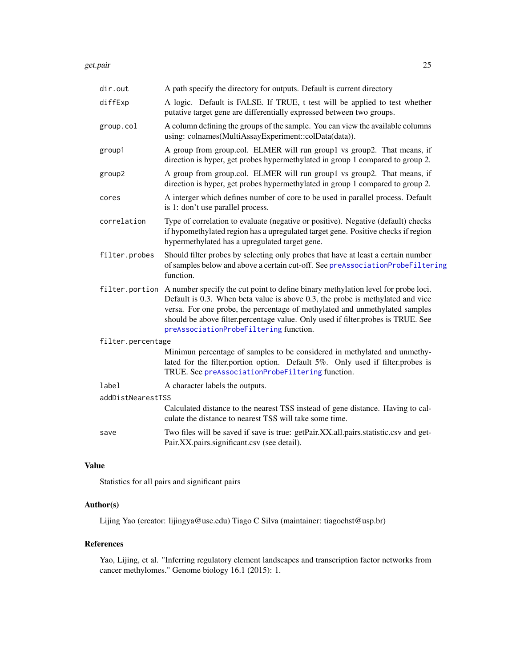get.pair 25

| dir.out           | A path specify the directory for outputs. Default is current directory                                                                                                                                                                                                                                                                                                                          |  |
|-------------------|-------------------------------------------------------------------------------------------------------------------------------------------------------------------------------------------------------------------------------------------------------------------------------------------------------------------------------------------------------------------------------------------------|--|
| diffExp           | A logic. Default is FALSE. If TRUE, t test will be applied to test whether<br>putative target gene are differentially expressed between two groups.                                                                                                                                                                                                                                             |  |
| group.col         | A column defining the groups of the sample. You can view the available columns<br>using: colnames(MultiAssayExperiment::colData(data)).                                                                                                                                                                                                                                                         |  |
| group1            | A group from group.col. ELMER will run group1 vs group2. That means, if<br>direction is hyper, get probes hypermethylated in group 1 compared to group 2.                                                                                                                                                                                                                                       |  |
| group2            | A group from group.col. ELMER will run group1 vs group2. That means, if<br>direction is hyper, get probes hypermethylated in group 1 compared to group 2.                                                                                                                                                                                                                                       |  |
| cores             | A interger which defines number of core to be used in parallel process. Default<br>is 1: don't use parallel process.                                                                                                                                                                                                                                                                            |  |
| correlation       | Type of correlation to evaluate (negative or positive). Negative (default) checks<br>if hypomethylated region has a upregulated target gene. Positive checks if region<br>hypermethylated has a upregulated target gene.                                                                                                                                                                        |  |
| filter.probes     | Should filter probes by selecting only probes that have at least a certain number<br>of samples below and above a certain cut-off. See preAssociationProbeFiltering<br>function.                                                                                                                                                                                                                |  |
|                   | filter.portion A number specify the cut point to define binary methylation level for probe loci.<br>Default is 0.3. When beta value is above 0.3, the probe is methylated and vice<br>versa. For one probe, the percentage of methylated and unmethylated samples<br>should be above filter.percentage value. Only used if filter.probes is TRUE. See<br>preAssociationProbeFiltering function. |  |
| filter.percentage |                                                                                                                                                                                                                                                                                                                                                                                                 |  |
|                   | Minimun percentage of samples to be considered in methylated and unmethy-<br>lated for the filter.portion option. Default 5%. Only used if filter.probes is<br>TRUE. See preAssociationProbeFiltering function.                                                                                                                                                                                 |  |
| label             | A character labels the outputs.                                                                                                                                                                                                                                                                                                                                                                 |  |
| addDistNearestTSS |                                                                                                                                                                                                                                                                                                                                                                                                 |  |
|                   | Calculated distance to the nearest TSS instead of gene distance. Having to cal-<br>culate the distance to nearest TSS will take some time.                                                                                                                                                                                                                                                      |  |
| save              | Two files will be saved if save is true: getPair.XX.all.pairs.statistic.csv and get-<br>Pair.XX.pairs.significant.csv (see detail).                                                                                                                                                                                                                                                             |  |
|                   |                                                                                                                                                                                                                                                                                                                                                                                                 |  |

# Value

Statistics for all pairs and significant pairs

# Author(s)

Lijing Yao (creator: lijingya@usc.edu) Tiago C Silva (maintainer: tiagochst@usp.br)

# References

Yao, Lijing, et al. "Inferring regulatory element landscapes and transcription factor networks from cancer methylomes." Genome biology 16.1 (2015): 1.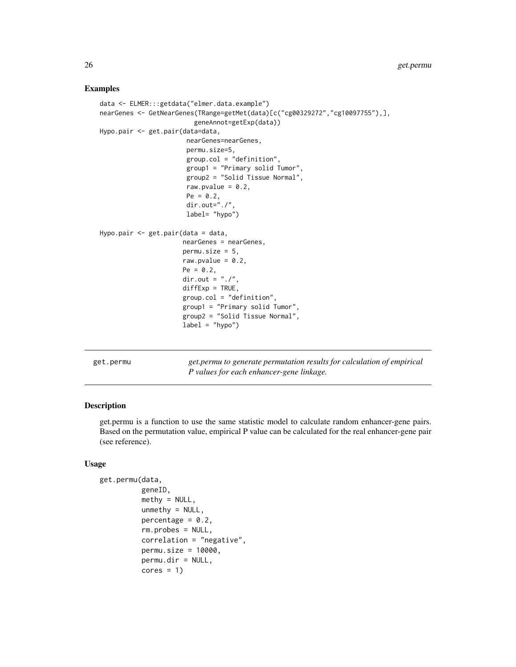#### Examples

```
data <- ELMER:::getdata("elmer.data.example")
nearGenes <- GetNearGenes(TRange=getMet(data)[c("cg00329272","cg10097755"),],
                         geneAnnot=getExp(data))
Hypo.pair <- get.pair(data=data,
                       nearGenes=nearGenes,
                       permu.size=5,
                       group.col = "definition",
                       group1 = "Primary solid Tumor",
                       group2 = "Solid Tissue Normal",
                       raw.pvalue = 0.2,
                       Pe = 0.2,
                       dir.out="./",
                       label= "hypo")
Hypo.pair <- get.pair(data = data,
                      nearGenes = nearGenes,
                      permusize = 5,
                      raw.pvalue = 0.2,
                      Pe = 0.2,
                      dir.out = "./".diffExp = TRUE,
                      group.col = "definition",
                      group1 = "Primary solid Tumor",
                      group2 = "Solid Tissue Normal",
                      label = "hypo")
```

| get.permu |
|-----------|
|-----------|

get.permu *get.permu to generate permutation results for calculation of empirical P values for each enhancer-gene linkage.*

#### Description

get.permu is a function to use the same statistic model to calculate random enhancer-gene pairs. Based on the permutation value, empirical P value can be calculated for the real enhancer-gene pair (see reference).

```
get.permu(data,
          geneID,
          methyl = NULL,unmethyl = NULL,percentage = 0.2,
          rm.probes = NULL,
          correlation = "negative",
          permu.size = 10000,
          permu.dir = NULL,
          cores = 1)
```
<span id="page-25-0"></span>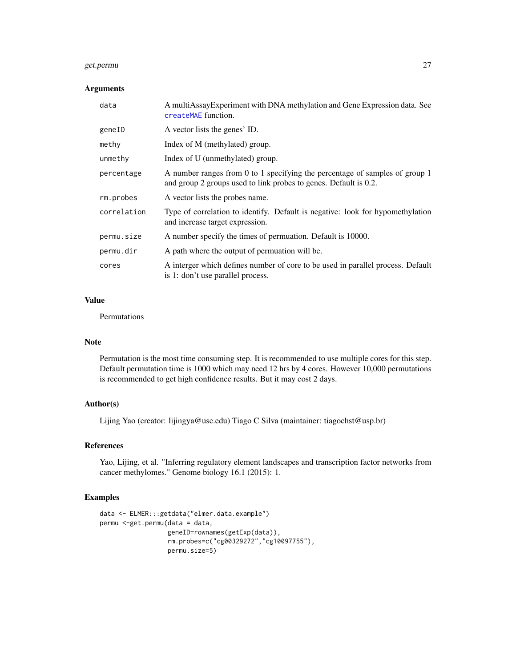#### get.permu 27

# Arguments

| data        | A multiAssayExperiment with DNA methylation and Gene Expression data. See<br>createMAE function.                                                |
|-------------|-------------------------------------------------------------------------------------------------------------------------------------------------|
| geneID      | A vector lists the genes' ID.                                                                                                                   |
| methy       | Index of M (methylated) group.                                                                                                                  |
| unmethy     | Index of U (unmethylated) group.                                                                                                                |
| percentage  | A number ranges from 0 to 1 specifying the percentage of samples of group 1<br>and group 2 groups used to link probes to genes. Default is 0.2. |
| rm.probes   | A vector lists the probes name.                                                                                                                 |
| correlation | Type of correlation to identify. Default is negative: look for hypomethylation<br>and increase target expression.                               |
| permu.size  | A number specify the times of permuation. Default is 10000.                                                                                     |
| permu.dir   | A path where the output of permuation will be.                                                                                                  |
| cores       | A interger which defines number of core to be used in parallel process. Default<br>is 1: don't use parallel process.                            |

#### Value

Permutations

# Note

Permutation is the most time consuming step. It is recommended to use multiple cores for this step. Default permutation time is 1000 which may need 12 hrs by 4 cores. However 10,000 permutations is recommended to get high confidence results. But it may cost 2 days.

#### Author(s)

Lijing Yao (creator: lijingya@usc.edu) Tiago C Silva (maintainer: tiagochst@usp.br)

# References

Yao, Lijing, et al. "Inferring regulatory element landscapes and transcription factor networks from cancer methylomes." Genome biology 16.1 (2015): 1.

#### Examples

```
data <- ELMER:::getdata("elmer.data.example")
permu <-get.permu(data = data,
                 geneID=rownames(getExp(data)),
                  rm.probes=c("cg00329272","cg10097755"),
                  permu.size=5)
```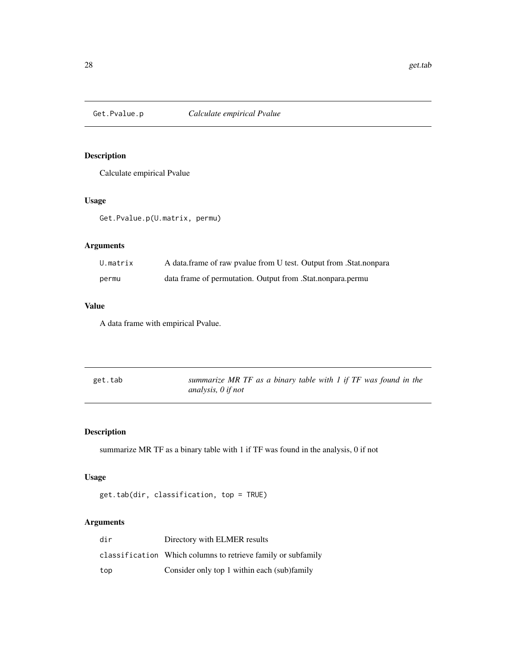<span id="page-27-0"></span>

# Description

Calculate empirical Pvalue

# Usage

Get.Pvalue.p(U.matrix, permu)

# Arguments

| U.matrix | A data frame of raw pvalue from U test. Output from . Stat. nonpara |
|----------|---------------------------------------------------------------------|
| permu    | data frame of permutation. Output from .Stat.nonpara.permu          |

# Value

A data frame with empirical Pvalue.

| get.tab | summarize MR TF as a binary table with 1 if $TF$ was found in the |
|---------|-------------------------------------------------------------------|
|         | analysis, $\theta$ if not                                         |

# Description

summarize MR TF as a binary table with 1 if TF was found in the analysis, 0 if not

# Usage

```
get.tab(dir, classification, top = TRUE)
```
# Arguments

| dir | Directory with ELMER results                                 |
|-----|--------------------------------------------------------------|
|     | classification Which columns to retrieve family or subfamily |
| top | Consider only top 1 within each (sub)family                  |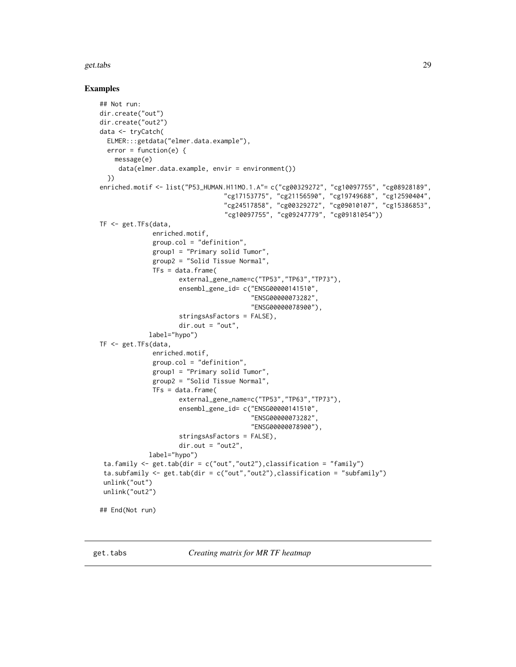#### <span id="page-28-0"></span>get.tabs 29

#### Examples

```
## Not run:
dir.create("out")
dir.create("out2")
data <- tryCatch(
  ELMER:::getdata("elmer.data.example"),
  error = function(e) {
    message(e)
     data(elmer.data.example, envir = environment())
  })
enriched.motif <- list("P53_HUMAN.H11MO.1.A"= c("cg00329272", "cg10097755", "cg08928189",
                                  "cg17153775", "cg21156590", "cg19749688", "cg12590404",
                                  "cg24517858", "cg00329272", "cg09010107", "cg15386853",
                                 "cg10097755", "cg09247779", "cg09181054"))
TF <- get.TFs(data,
              enriched.motif,
              group.col = "definition",
              group1 = "Primary solid Tumor",
              group2 = "Solid Tissue Normal",
              TFs = data.frame(external_gene_name=c("TP53","TP63","TP73"),
                     ensembl_gene_id= c("ENSG00000141510",
                                         "ENSG00000073282",
                                         "ENSG00000078900"),
                     stringsAsFactors = FALSE),
                     dir.out = "out",label="hypo")
TF <- get.TFs(data,
              enriched.motif,
              group.col = "definition",
              group1 = "Primary solid Tumor",
              group2 = "Solid Tissue Normal",
              TFs = data.frame(external_gene_name=c("TP53","TP63","TP73"),
                     ensembl_gene_id= c("ENSG00000141510",
                                         "ENSG00000073282",
                                         "ENSG00000078900"),
                     stringsAsFactors = FALSE),
                     dir.out = "out2",label="hypo")
 ta.family \leq get.tab(dir = c("out","out2"), classification = "family")
 ta.subfamily <- get.tab(dir = c("out","out2"),classification = "subfamily")
 unlink("out")
 unlink("out2")
## End(Not run)
```
get.tabs *Creating matrix for MR TF heatmap*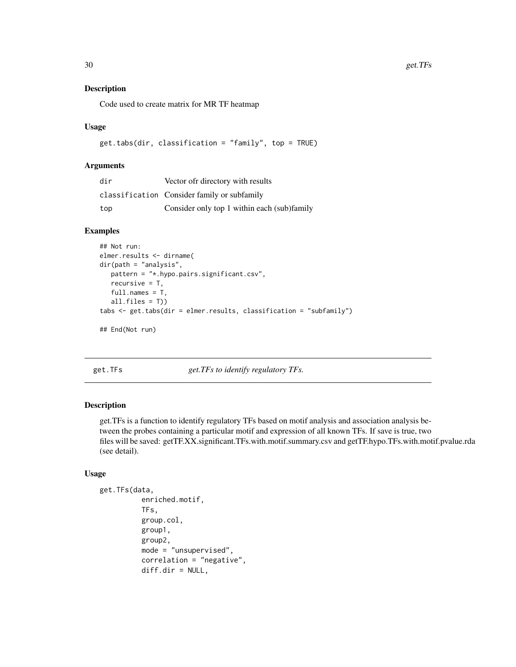# Description

Code used to create matrix for MR TF heatmap

#### Usage

```
get.tabs(dir, classification = "family", top = TRUE)
```
#### Arguments

| dir | Vector of directory with results            |
|-----|---------------------------------------------|
|     | classification Consider family or subfamily |
| top | Consider only top 1 within each (sub)family |

# Examples

```
## Not run:
elmer.results <- dirname(
dir(path = "analysis",
  pattern = "*.hypo.pairs.significant.csv",
  recursive = T,
  full.names = T,
  all.files = T))
tabs <- get.tabs(dir = elmer.results, classification = "subfamily")
## End(Not run)
```
<span id="page-29-1"></span>get.TFs *get.TFs to identify regulatory TFs.*

#### Description

get.TFs is a function to identify regulatory TFs based on motif analysis and association analysis between the probes containing a particular motif and expression of all known TFs. If save is true, two files will be saved: getTF.XX.significant.TFs.with.motif.summary.csv and getTF.hypo.TFs.with.motif.pvalue.rda (see detail).

```
get.TFs(data,
          enriched.motif,
          TFs,
          group.col,
          group1,
          group2,
          mode = "unsupervised",
          correlation = "negative",
          diff.dir = NULL,
```
<span id="page-29-0"></span>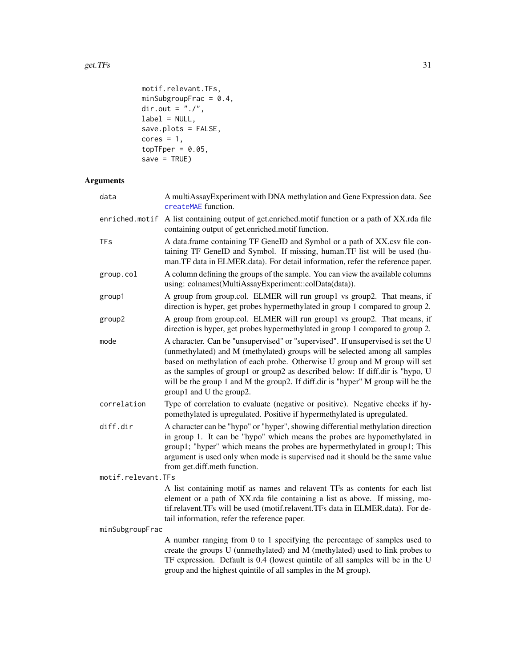```
motif.relevant.TFs,
minSubgroupFrac = 0.4,
dir.out = ^{\prime\prime}./^{\prime\prime},
label = NULL,save.plots = FALSE,
cores = 1,topTFper = 0.05,
save = TRUE)
```
# Arguments

| data               | A multiAssayExperiment with DNA methylation and Gene Expression data. See<br>createMAE function.                                                                                                                                                                                                                                                                                                                                                |  |
|--------------------|-------------------------------------------------------------------------------------------------------------------------------------------------------------------------------------------------------------------------------------------------------------------------------------------------------------------------------------------------------------------------------------------------------------------------------------------------|--|
| enriched.motif     | A list containing output of get.enriched.motif function or a path of XX.rda file<br>containing output of get.enriched.motif function.                                                                                                                                                                                                                                                                                                           |  |
| TFs                | A data.frame containing TF GeneID and Symbol or a path of XX.csv file con-<br>taining TF GeneID and Symbol. If missing, human.TF list will be used (hu-<br>man.TF data in ELMER.data). For detail information, refer the reference paper.                                                                                                                                                                                                       |  |
| group.col          | A column defining the groups of the sample. You can view the available columns<br>using: colnames(MultiAssayExperiment::colData(data)).                                                                                                                                                                                                                                                                                                         |  |
| group1             | A group from group.col. ELMER will run group1 vs group2. That means, if<br>direction is hyper, get probes hypermethylated in group 1 compared to group 2.                                                                                                                                                                                                                                                                                       |  |
| group2             | A group from group.col. ELMER will run group1 vs group2. That means, if<br>direction is hyper, get probes hypermethylated in group 1 compared to group 2.                                                                                                                                                                                                                                                                                       |  |
| mode               | A character. Can be "unsupervised" or "supervised". If unsupervised is set the U<br>(unmethylated) and M (methylated) groups will be selected among all samples<br>based on methylation of each probe. Otherwise U group and M group will set<br>as the samples of group1 or group2 as described below: If diff.dir is "hypo, U<br>will be the group 1 and M the group2. If diff.dir is "hyper" M group will be the<br>group1 and U the group2. |  |
| correlation        | Type of correlation to evaluate (negative or positive). Negative checks if hy-<br>pomethylated is upregulated. Positive if hypermethylated is upregulated.                                                                                                                                                                                                                                                                                      |  |
| diff.dir           | A character can be "hypo" or "hyper", showing differential methylation direction<br>in group 1. It can be "hypo" which means the probes are hypomethylated in<br>group1; "hyper" which means the probes are hypermethylated in group1; This<br>argument is used only when mode is supervised nad it should be the same value<br>from get.diff.meth function.                                                                                    |  |
| motif.relevant.TFs |                                                                                                                                                                                                                                                                                                                                                                                                                                                 |  |
|                    | A list containing motif as names and relavent TFs as contents for each list<br>element or a path of XX.rda file containing a list as above. If missing, mo-<br>tif.relavent.TFs will be used (motif.relavent.TFs data in ELMER.data). For de-<br>tail information, refer the reference paper.                                                                                                                                                   |  |
| minSubgroupFrac    |                                                                                                                                                                                                                                                                                                                                                                                                                                                 |  |
|                    | A number ranging from 0 to 1 specifying the percentage of samples used to<br>create the groups U (unmethylated) and M (methylated) used to link probes to<br>TF expression. Default is 0.4 (lowest quintile of all samples will be in the U<br>group and the highest quintile of all samples in the M group).                                                                                                                                   |  |
|                    |                                                                                                                                                                                                                                                                                                                                                                                                                                                 |  |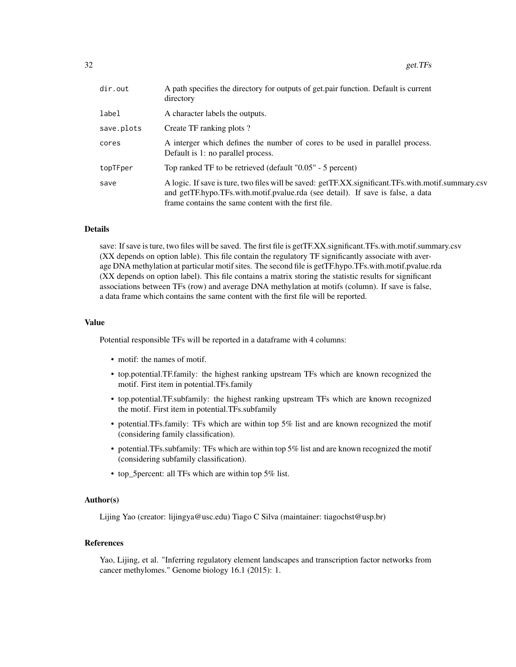| A path specifies the directory for outputs of get pair function. Default is current<br>directory                                                                                                                                              |
|-----------------------------------------------------------------------------------------------------------------------------------------------------------------------------------------------------------------------------------------------|
| A character labels the outputs.                                                                                                                                                                                                               |
| Create TF ranking plots?                                                                                                                                                                                                                      |
| A interger which defines the number of cores to be used in parallel process.<br>Default is 1: no parallel process.                                                                                                                            |
| Top ranked TF to be retrieved (default "0.05" - 5 percent)                                                                                                                                                                                    |
| A logic. If save is ture, two files will be saved: getTF.XX.significant.TFs.with.motif.summary.csv<br>and getTF.hypo.TFs.with.motif.pvalue.rda (see detail). If save is false, a data<br>frame contains the same content with the first file. |
|                                                                                                                                                                                                                                               |

## Details

save: If save is ture, two files will be saved. The first file is getTF.XX.significant.TFs.with.motif.summary.csv (XX depends on option lable). This file contain the regulatory TF significantly associate with average DNA methylation at particular motif sites. The second file is getTF.hypo.TFs.with.motif.pvalue.rda (XX depends on option label). This file contains a matrix storing the statistic results for significant associations between TFs (row) and average DNA methylation at motifs (column). If save is false, a data frame which contains the same content with the first file will be reported.

#### Value

Potential responsible TFs will be reported in a dataframe with 4 columns:

- motif: the names of motif.
- top.potential.TF.family: the highest ranking upstream TFs which are known recognized the motif. First item in potential.TFs.family
- top.potential.TF.subfamily: the highest ranking upstream TFs which are known recognized the motif. First item in potential.TFs.subfamily
- potential.TFs.family: TFs which are within top 5% list and are known recognized the motif (considering family classification).
- potential.TFs.subfamily: TFs which are within top 5% list and are known recognized the motif (considering subfamily classification).
- top 5percent: all TFs which are within top 5% list.

#### Author(s)

Lijing Yao (creator: lijingya@usc.edu) Tiago C Silva (maintainer: tiagochst@usp.br)

# References

Yao, Lijing, et al. "Inferring regulatory element landscapes and transcription factor networks from cancer methylomes." Genome biology 16.1 (2015): 1.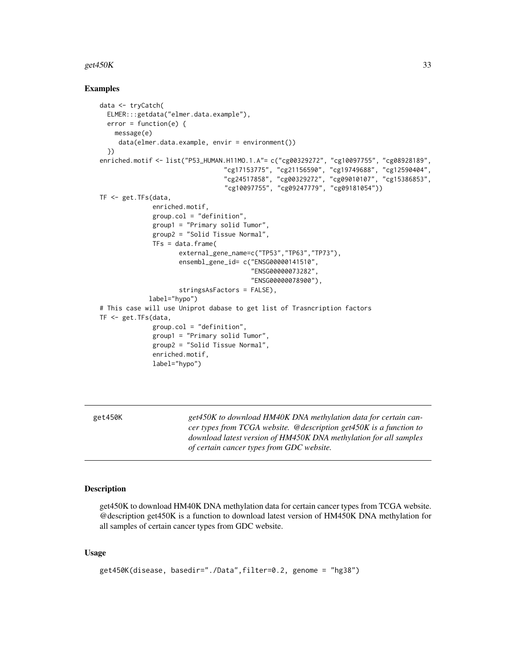#### <span id="page-32-0"></span>get $450K$  33

#### Examples

```
data <- tryCatch(
 ELMER:::getdata("elmer.data.example"),
 error = function(e) {
   message(e)
     data(elmer.data.example, envir = environment())
 })
enriched.motif <- list("P53_HUMAN.H11MO.1.A"= c("cg00329272", "cg10097755", "cg08928189",
                                 "cg17153775", "cg21156590", "cg19749688", "cg12590404",
                                 "cg24517858", "cg00329272", "cg09010107", "cg15386853",
                                 "cg10097755", "cg09247779", "cg09181054"))
TF <- get.TFs(data,
              enriched.motif,
              group.col = "definition",
              group1 = "Primary solid Tumor",
              group2 = "Solid Tissue Normal",
              TFs = data.frame(external_gene_name=c("TP53","TP63","TP73"),
                     ensembl_gene_id= c("ENSG00000141510",
                                         "ENSG00000073282",
                                        "ENSG00000078900"),
                     stringsAsFactors = FALSE),
             label="hypo")
# This case will use Uniprot dabase to get list of Trasncription factors
TF <- get.TFs(data,
              group.col = "definition",
              group1 = "Primary solid Tumor",
              group2 = "Solid Tissue Normal",
              enriched.motif,
              label="hypo")
```
get450K *get450K to download HM40K DNA methylation data for certain cancer types from TCGA website. @description get450K is a function to download latest version of HM450K DNA methylation for all samples of certain cancer types from GDC website.*

#### **Description**

get450K to download HM40K DNA methylation data for certain cancer types from TCGA website. @description get450K is a function to download latest version of HM450K DNA methylation for all samples of certain cancer types from GDC website.

```
get450K(disease, basedir="./Data",filter=0.2, genome = "hg38")
```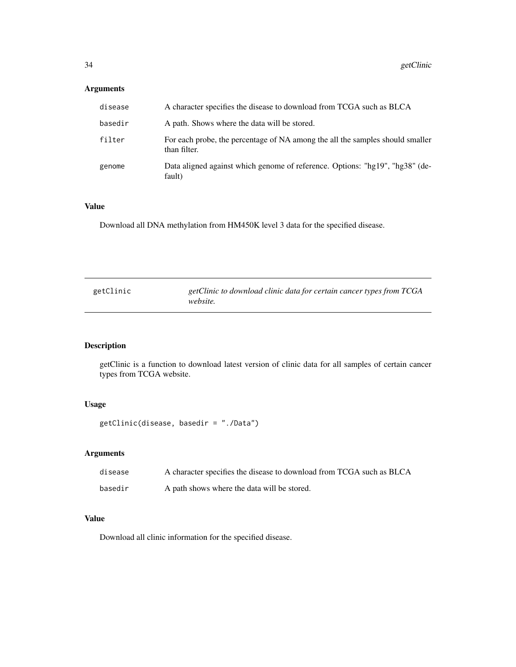# <span id="page-33-0"></span>Arguments

| disease | A character specifies the disease to download from TCGA such as BLCA                          |
|---------|-----------------------------------------------------------------------------------------------|
| basedir | A path. Shows where the data will be stored.                                                  |
| filter  | For each probe, the percentage of NA among the all the samples should smaller<br>than filter. |
| genome  | Data aligned against which genome of reference. Options: "hg19", "hg38" (de-<br>fault)        |

# Value

Download all DNA methylation from HM450K level 3 data for the specified disease.

| getClinic | getClinic to download clinic data for certain cancer types from TCGA |
|-----------|----------------------------------------------------------------------|
|           | <i>website.</i>                                                      |

# Description

getClinic is a function to download latest version of clinic data for all samples of certain cancer types from TCGA website.

# Usage

```
getClinic(disease, basedir = "./Data")
```
# Arguments

| disease | A character specifies the disease to download from TCGA such as BLCA |
|---------|----------------------------------------------------------------------|
| basedir | A path shows where the data will be stored.                          |

# Value

Download all clinic information for the specified disease.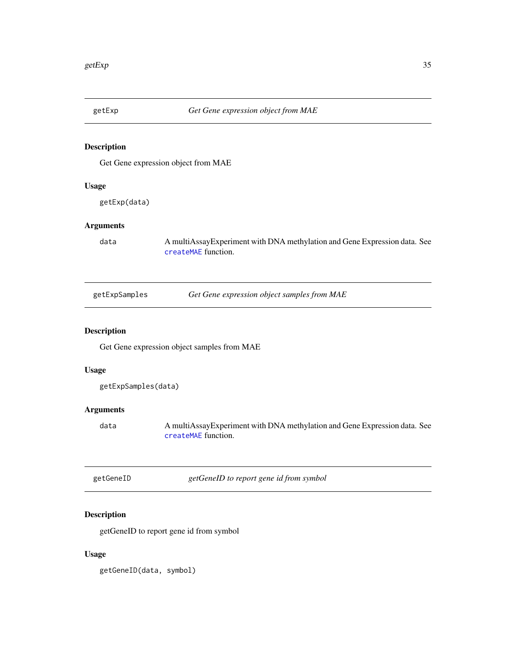<span id="page-34-0"></span>

# Description

Get Gene expression object from MAE

# Usage

getExp(data)

# Arguments

data A multiAssayExperiment with DNA methylation and Gene Expression data. See [createMAE](#page-7-1) function.

# Description

Get Gene expression object samples from MAE

# Usage

```
getExpSamples(data)
```
# Arguments

data A multiAssayExperiment with DNA methylation and Gene Expression data. See [createMAE](#page-7-1) function.

| getGeneID |  |
|-----------|--|
|-----------|--|

getGeneID *getGeneID to report gene id from symbol*

# Description

getGeneID to report gene id from symbol

# Usage

getGeneID(data, symbol)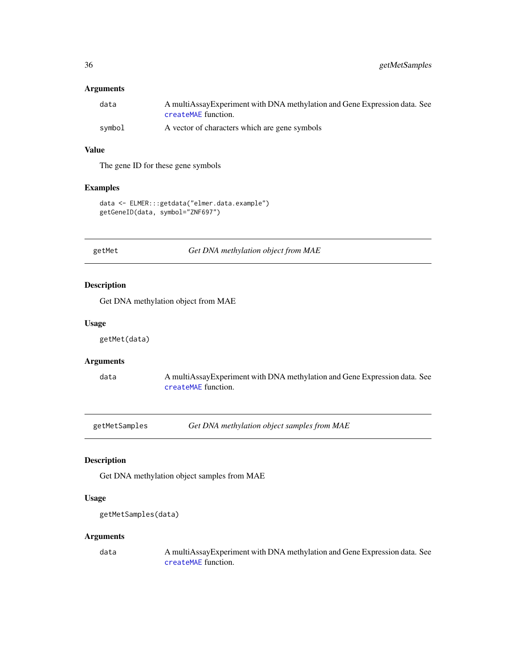# <span id="page-35-0"></span>Arguments

| data   | A multiAssay Experiment with DNA methylation and Gene Expression data. See |
|--------|----------------------------------------------------------------------------|
|        | createMAE function.                                                        |
| symbol | A vector of characters which are gene symbols                              |

# Value

The gene ID for these gene symbols

# Examples

```
data <- ELMER:::getdata("elmer.data.example")
getGeneID(data, symbol="ZNF697")
```
getMet *Get DNA methylation object from MAE*

# Description

Get DNA methylation object from MAE

#### Usage

getMet(data)

# Arguments

data A multiAssayExperiment with DNA methylation and Gene Expression data. See [createMAE](#page-7-1) function.

getMetSamples *Get DNA methylation object samples from MAE*

# Description

Get DNA methylation object samples from MAE

#### Usage

```
getMetSamples(data)
```
#### Arguments

data A multiAssayExperiment with DNA methylation and Gene Expression data. See [createMAE](#page-7-1) function.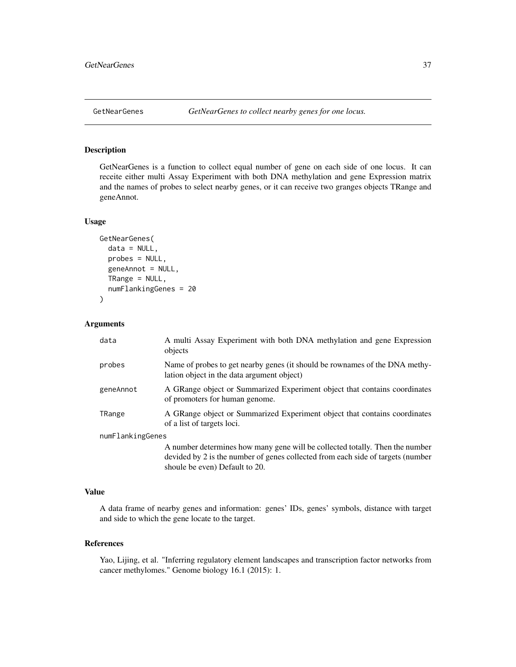<span id="page-36-0"></span>

## Description

GetNearGenes is a function to collect equal number of gene on each side of one locus. It can receite either multi Assay Experiment with both DNA methylation and gene Expression matrix and the names of probes to select nearby genes, or it can receive two granges objects TRange and geneAnnot.

## Usage

```
GetNearGenes(
  data = NULL,probes = NULL,
  geneAnnot = NULL,
  TRange = NULL,
  numFlankingGenes = 20
)
```
#### Arguments

| data             | A multi Assay Experiment with both DNA methylation and gene Expression<br>objects                                                                               |
|------------------|-----------------------------------------------------------------------------------------------------------------------------------------------------------------|
| probes           | Name of probes to get nearby genes (it should be rownames of the DNA methy-<br>lation object in the data argument object)                                       |
| geneAnnot        | A GRange object or Summarized Experiment object that contains coordinates<br>of promoters for human genome.                                                     |
| TRange           | A GRange object or Summarized Experiment object that contains coordinates<br>of a list of targets loci.                                                         |
| numFlankingGenes |                                                                                                                                                                 |
|                  | A number determines how many gene will be collected totally. Then the number<br>devided by 2 is the number of genes collected from each side of targets (number |

#### Value

A data frame of nearby genes and information: genes' IDs, genes' symbols, distance with target and side to which the gene locate to the target.

shoule be even) Default to 20.

## References

Yao, Lijing, et al. "Inferring regulatory element landscapes and transcription factor networks from cancer methylomes." Genome biology 16.1 (2015): 1.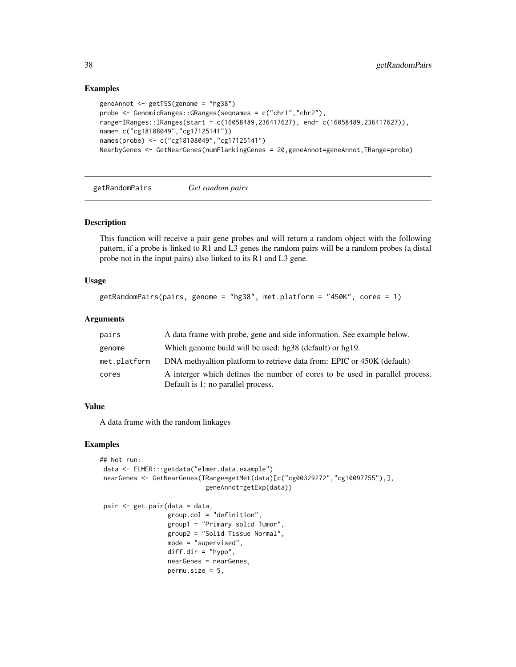#### Examples

```
geneAnnot <- getTSS(genome = "hg38")
probe <- GenomicRanges::GRanges(seqnames = c("chr1","chr2"),
range=IRanges::IRanges(start = c(16058489,236417627), end= c(16058489,236417627)),
name= c("cg18108049","cg17125141"))
names(probe) <- c("cg18108049","cg17125141")
NearbyGenes <- GetNearGenes(numFlankingGenes = 20,geneAnnot=geneAnnot,TRange=probe)
```
getRandomPairs *Get random pairs*

## Description

This function will receive a pair gene probes and will return a random object with the following pattern, if a probe is linked to R1 and L3 genes the random pairs will be a random probes (a distal probe not in the input pairs) also linked to its R1 and L3 gene.

#### Usage

```
getRandomPairs(pairs, genome = "hg38", met.platform = "450K", cores = 1)
```
# Arguments

| pairs        | A data frame with probe, gene and side information. See example below.                                             |
|--------------|--------------------------------------------------------------------------------------------------------------------|
| genome       | Which genome build will be used: hg38 (default) or hg19.                                                           |
| met.platform | DNA methyaltion platform to retrieve data from: EPIC or 450K (default)                                             |
| cores        | A interger which defines the number of cores to be used in parallel process.<br>Default is 1: no parallel process. |

#### Value

A data frame with the random linkages

#### Examples

```
## Not run:
data <- ELMER:::getdata("elmer.data.example")
nearGenes <- GetNearGenes(TRange=getMet(data)[c("cg00329272","cg10097755"),],
                            geneAnnot=getExp(data))
```

```
pair <- get.pair(data = data,
                 group.col = "definition",
                 group1 = "Primary solid Tumor",
                 group2 = "Solid Tissue Normal",
                 mode = "supervised",
                 diff.dir = "hypo",
                 nearGenes = nearGenes,
                 permusize = 5,
```
<span id="page-37-0"></span>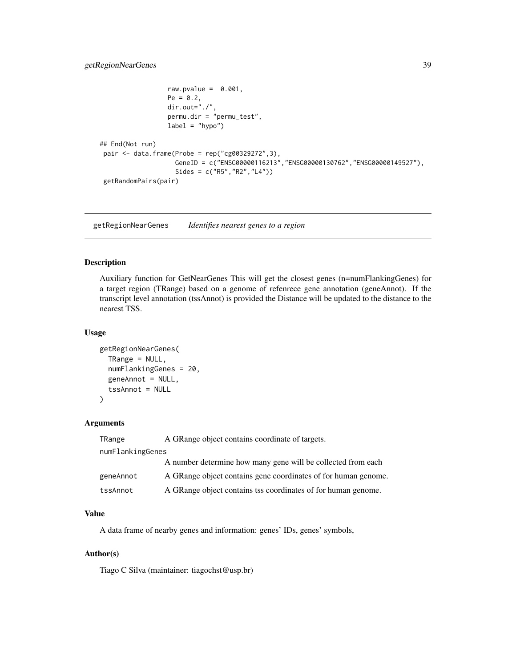# <span id="page-38-0"></span>getRegionNearGenes 39

```
raw.pvalue = 0.001,
                  Pe = 0.2,
                  dir.out="./",
                  permu.dir = "permu_test",
                  label = "hypo")
## End(Not run)
pair <- data.frame(Probe = rep("cg00329272",3),
                    GeneID = c("ENSG00000116213","ENSG00000130762","ENSG00000149527"),
                    Sides = c("R5","R2","L4"))
getRandomPairs(pair)
```
getRegionNearGenes *Identifies nearest genes to a region*

## Description

Auxiliary function for GetNearGenes This will get the closest genes (n=numFlankingGenes) for a target region (TRange) based on a genome of refenrece gene annotation (geneAnnot). If the transcript level annotation (tssAnnot) is provided the Distance will be updated to the distance to the nearest TSS.

## Usage

```
getRegionNearGenes(
  TRange = NULL,numFlankingGenes = 20,
  geneAnnot = NULL,
  tssAnnot = NULL
)
```
## Arguments

| TRange           | A GRange object contains coordinate of targets.                |
|------------------|----------------------------------------------------------------|
| numFlankingGenes |                                                                |
|                  | A number determine how many gene will be collected from each   |
| geneAnnot        | A GRange object contains gene coordinates of for human genome. |
| tssAnnot         | A GRange object contains tss coordinates of for human genome.  |

# Value

A data frame of nearby genes and information: genes' IDs, genes' symbols,

#### Author(s)

Tiago C Silva (maintainer: tiagochst@usp.br)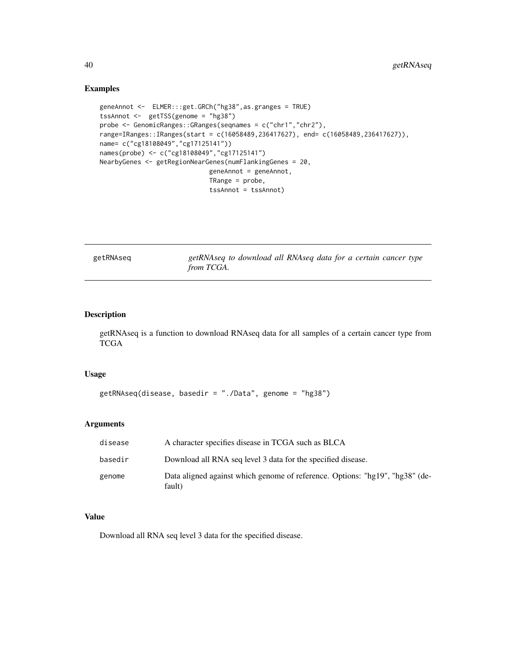#### Examples

```
geneAnnot <- ELMER:::get.GRCh("hg38",as.granges = TRUE)
tssAnnot <- getTSS(genome = "hg38")
probe <- GenomicRanges::GRanges(seqnames = c("chr1","chr2"),
range=IRanges::IRanges(start = c(16058489,236417627), end= c(16058489,236417627)),
name= c("cg18108049","cg17125141"))
names(probe) <- c("cg18108049","cg17125141")
NearbyGenes <- getRegionNearGenes(numFlankingGenes = 20,
                            geneAnnot = geneAnnot,
                             TRange = probe,
                             tssAnnot = tssAnnot)
```
getRNAseq *getRNAseq to download all RNAseq data for a certain cancer type from TCGA.*

# Description

getRNAseq is a function to download RNAseq data for all samples of a certain cancer type from TCGA

## Usage

```
getRNAseq(disease, basedir = "./Data", genome = "hg38")
```
#### Arguments

| disease | A character specifies disease in TCGA such as BLCA                                     |
|---------|----------------------------------------------------------------------------------------|
| basedir | Download all RNA seq level 3 data for the specified disease.                           |
| genome  | Data aligned against which genome of reference. Options: "hg19", "hg38" (de-<br>fault) |

# Value

Download all RNA seq level 3 data for the specified disease.

<span id="page-39-0"></span>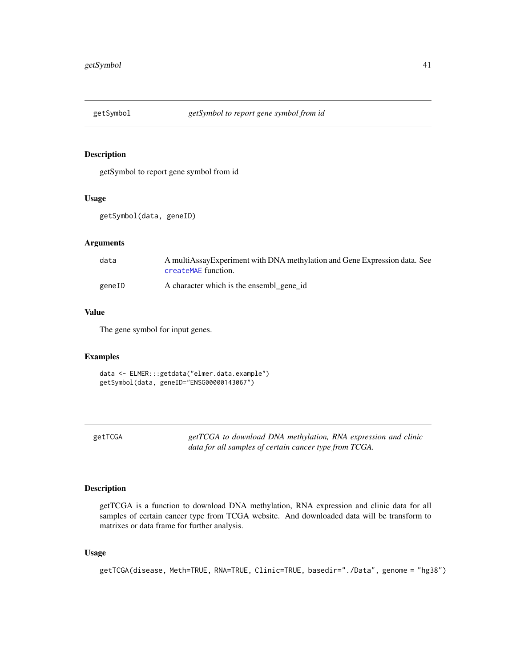<span id="page-40-0"></span>

# Description

getSymbol to report gene symbol from id

## Usage

getSymbol(data, geneID)

# Arguments

| data   | A multiAssayExperiment with DNA methylation and Gene Expression data. See<br>createMAE function. |
|--------|--------------------------------------------------------------------------------------------------|
| geneID | A character which is the ensembl gene id                                                         |

## Value

The gene symbol for input genes.

# Examples

data <- ELMER:::getdata("elmer.data.example") getSymbol(data, geneID="ENSG00000143067")

getTCGA *getTCGA to download DNA methylation, RNA expression and clinic data for all samples of certain cancer type from TCGA.*

# Description

getTCGA is a function to download DNA methylation, RNA expression and clinic data for all samples of certain cancer type from TCGA website. And downloaded data will be transform to matrixes or data frame for further analysis.

#### Usage

getTCGA(disease, Meth=TRUE, RNA=TRUE, Clinic=TRUE, basedir="./Data", genome = "hg38")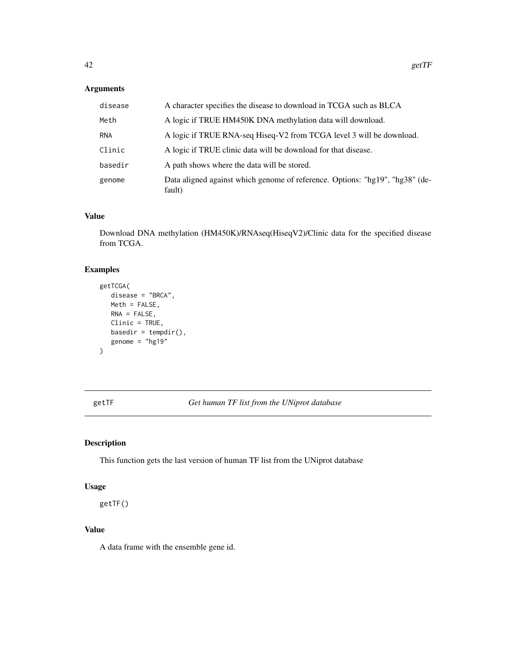# <span id="page-41-0"></span>Arguments

| disease    | A character specifies the disease to download in TCGA such as BLCA                     |
|------------|----------------------------------------------------------------------------------------|
| Meth       | A logic if TRUE HM450K DNA methylation data will download.                             |
| <b>RNA</b> | A logic if TRUE RNA-seq Hiseq-V2 from TCGA level 3 will be download.                   |
| Clinic     | A logic if TRUE clinic data will be download for that disease.                         |
| basedir    | A path shows where the data will be stored.                                            |
| genome     | Data aligned against which genome of reference. Options: "hg19", "hg38" (de-<br>fault) |

## Value

Download DNA methylation (HM450K)/RNAseq(HiseqV2)/Clinic data for the specified disease from TCGA.

# Examples

```
getTCGA(
   disease = "BRCA",
   Meth = FALSE,
   RNA = FALSE,
   Clinic = TRUE,
   basedir = tempdir(),
   genome = "hg19"
\mathcal{L}
```
getTF *Get human TF list from the UNiprot database*

# Description

This function gets the last version of human TF list from the UNiprot database

## Usage

getTF()

## Value

A data frame with the ensemble gene id.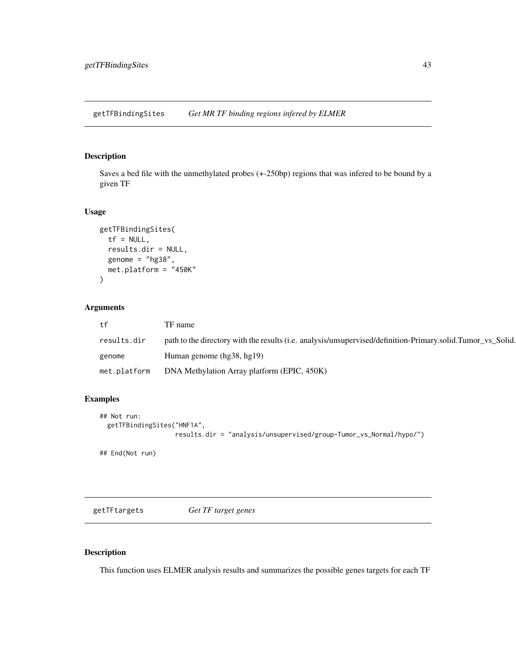<span id="page-42-0"></span>getTFBindingSites *Get MR TF binding regions infered by ELMER*

# Description

Saves a bed file with the unmethylated probes (+-250bp) regions that was infered to be bound by a given TF

#### Usage

```
getTFBindingSites(
  tf = NULL,results.dir = NULL,
  genome = "hg38",
 met.platform = "450K"
)
```
# Arguments

| tf           | TF name                                                                                                     |
|--------------|-------------------------------------------------------------------------------------------------------------|
| results.dir  | path to the directory with the results (i.e. analysis/unsupervised/definition-Primary.solid.Tumor_vs_Solid. |
| genome       | Human genome (hg38, hg19)                                                                                   |
| met.platform | DNA Methylation Array platform (EPIC, 450K)                                                                 |

# Examples

```
## Not run:
 getTFBindingSites("HNF1A",
                    results.dir = "analysis/unsupervised/group-Tumor_vs_Normal/hypo/")
## End(Not run)
```
getTFtargets *Get TF target genes*

# Description

This function uses ELMER analysis results and summarizes the possible genes targets for each TF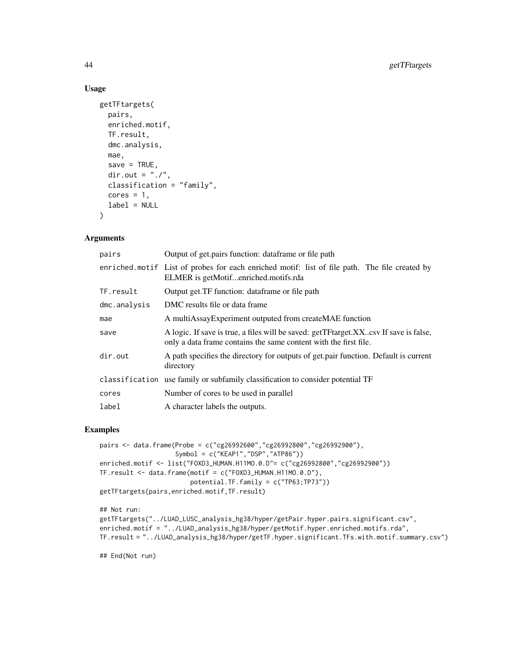## Usage

```
getTFtargets(
 pairs,
  enriched.motif,
 TF.result,
 dmc.analysis,
 mae,
  save = TRUE,
 dir.out = "./".classification = "family",
 cores = 1,label = NULL)
```
#### Arguments

| pairs        | Output of get pairs function: dataframe or file path                                                                                                         |
|--------------|--------------------------------------------------------------------------------------------------------------------------------------------------------------|
|              | enriched motif List of probes for each enriched motif: list of file path. The file created by<br>ELMER is getMotifenriched.motifs.rda                        |
| TF.result    | Output get. TF function: dataframe or file path                                                                                                              |
| dmc.analysis | DMC results file or data frame                                                                                                                               |
| mae          | A multiAssayExperiment outputed from createMAE function                                                                                                      |
| save         | A logic. If save is true, a files will be saved: getTF target. XX. csv If save is false,<br>only a data frame contains the same content with the first file. |
| dir.out      | A path specifies the directory for outputs of get pair function. Default is current<br>directory                                                             |
|              | classification use family or subfamily classification to consider potential TF                                                                               |
| cores        | Number of cores to be used in parallel                                                                                                                       |
| label        | A character labels the outputs.                                                                                                                              |
|              |                                                                                                                                                              |

## Examples

```
pairs <- data.frame(Probe = c("cg26992600","cg26992800","cg26992900"),
                    Symbol = c("KEAP1","DSP","ATP86"))
enriched.motif <- list("FOXD3_HUMAN.H11MO.0.D"= c("cg26992800","cg26992900"))
TF.result <- data.frame(motif = c("FOXD3_HUMAN.H11MO.0.D"),
                        potential.TF.family = c("TP63;TP73"))
getTFtargets(pairs,enriched.motif,TF.result)
```

```
## Not run:
getTFtargets("../LUAD_LUSC_analysis_hg38/hyper/getPair.hyper.pairs.significant.csv",
enriched.motif = "../LUAD_analysis_hg38/hyper/getMotif.hyper.enriched.motifs.rda",
TF.result = "../LUAD_analysis_hg38/hyper/getTF.hyper.significant.TFs.with.motif.summary.csv")
```
## End(Not run)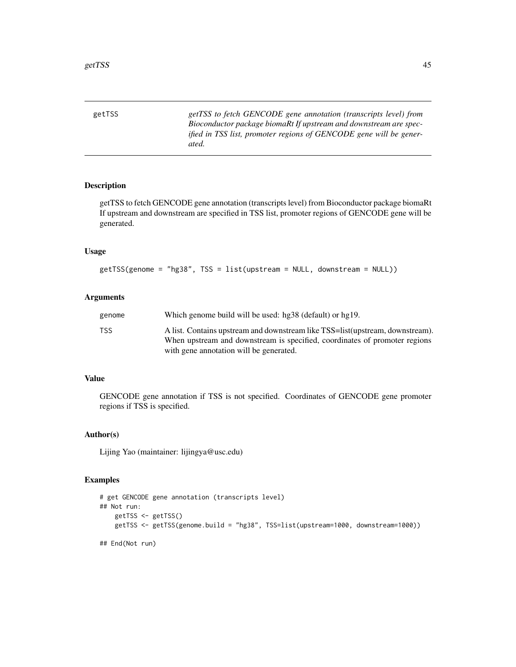<span id="page-44-0"></span>getTSS *getTSS to fetch GENCODE gene annotation (transcripts level) from Bioconductor package biomaRt If upstream and downstream are specified in TSS list, promoter regions of GENCODE gene will be generated.*

# Description

getTSS to fetch GENCODE gene annotation (transcripts level) from Bioconductor package biomaRt If upstream and downstream are specified in TSS list, promoter regions of GENCODE gene will be generated.

#### Usage

```
getTSS(genome = "hg38", TSS = list(upstream = NULL, downstream = NULL))
```
#### Arguments

| genome | Which genome build will be used: hg38 (default) or hg19.                                                                                                    |
|--------|-------------------------------------------------------------------------------------------------------------------------------------------------------------|
| TSS    | A list. Contains upstream and downstream like TSS=list(upstream, downstream).<br>When upstream and downstream is specified, coordinates of promoter regions |
|        | with gene annotation will be generated.                                                                                                                     |

# Value

GENCODE gene annotation if TSS is not specified. Coordinates of GENCODE gene promoter regions if TSS is specified.

#### Author(s)

Lijing Yao (maintainer: lijingya@usc.edu)

#### Examples

```
# get GENCODE gene annotation (transcripts level)
## Not run:
   getTSS <- getTSS()
   getTSS <- getTSS(genome.build = "hg38", TSS=list(upstream=1000, downstream=1000))
## End(Not run)
```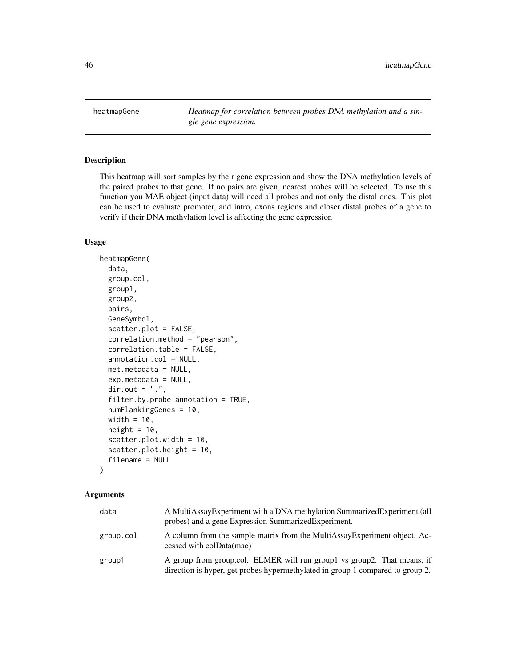<span id="page-45-0"></span>heatmapGene *Heatmap for correlation between probes DNA methylation and a single gene expression.*

#### Description

This heatmap will sort samples by their gene expression and show the DNA methylation levels of the paired probes to that gene. If no pairs are given, nearest probes will be selected. To use this function you MAE object (input data) will need all probes and not only the distal ones. This plot can be used to evaluate promoter, and intro, exons regions and closer distal probes of a gene to verify if their DNA methylation level is affecting the gene expression

#### Usage

```
heatmapGene(
  data,
  group.col,
  group1,
  group2,
  pairs,
  GeneSymbol,
  scatter.plot = FALSE,
  correlation.method = "pearson",
  correlation.table = FALSE,
  annotation.col = NULL,
  met.metadata = NULL,
  exp.metadata = NULL,
  dir.out = ".'',filter.by.probe.annotation = TRUE,
  numFlankingGenes = 10,
  width = 10,
  height = 10,
  scatter.plot.width = 10,
  scatter.plot.height = 10,
  filename = NULL
)
```
# Arguments

| data      | A MultiAssayExperiment with a DNA methylation SummarizedExperiment (all<br>probes) and a gene Expression Summarized Experiment.                           |
|-----------|-----------------------------------------------------------------------------------------------------------------------------------------------------------|
| group.col | A column from the sample matrix from the MultiAssay Experiment object. Ac-<br>cessed with colData(mae)                                                    |
| group1    | A group from group.col. ELMER will run group1 vs group2. That means, if<br>direction is hyper, get probes hypermethylated in group 1 compared to group 2. |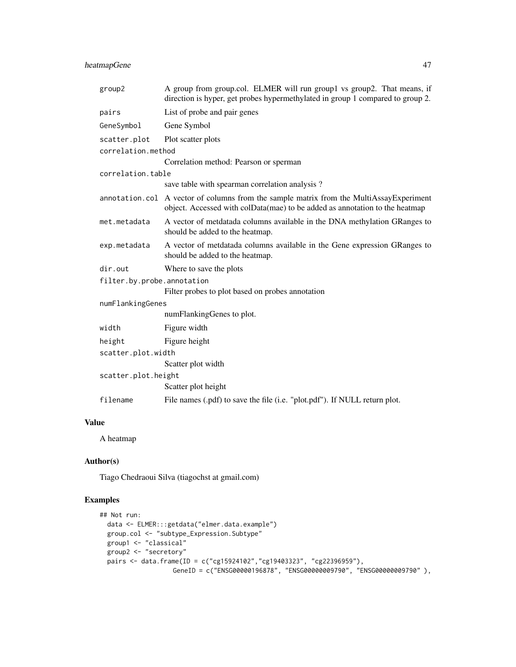# heatmapGene 47

| group2                     | A group from group.col. ELMER will run group1 vs group2. That means, if<br>direction is hyper, get probes hypermethylated in group 1 compared to group 2.              |
|----------------------------|------------------------------------------------------------------------------------------------------------------------------------------------------------------------|
| pairs                      | List of probe and pair genes                                                                                                                                           |
| GeneSymbol                 | Gene Symbol                                                                                                                                                            |
| scatter.plot               | Plot scatter plots                                                                                                                                                     |
| correlation.method         |                                                                                                                                                                        |
|                            | Correlation method: Pearson or sperman                                                                                                                                 |
| correlation.table          |                                                                                                                                                                        |
|                            | save table with spearman correlation analysis?                                                                                                                         |
|                            | annotation.col A vector of columns from the sample matrix from the MultiAssayExperiment<br>object. Accessed with colData(mae) to be added as annotation to the heatmap |
| met.metadata               | A vector of metdatada columns available in the DNA methylation GRanges to<br>should be added to the heatmap.                                                           |
| exp.metadata               | A vector of metdatada columns available in the Gene expression GRanges to<br>should be added to the heatmap.                                                           |
| dir.out                    | Where to save the plots                                                                                                                                                |
| filter.by.probe.annotation |                                                                                                                                                                        |
|                            | Filter probes to plot based on probes annotation                                                                                                                       |
| numFlankingGenes           |                                                                                                                                                                        |
|                            | numFlankingGenes to plot.                                                                                                                                              |
| width                      | Figure width                                                                                                                                                           |
| height                     | Figure height                                                                                                                                                          |
| scatter.plot.width         |                                                                                                                                                                        |
|                            | Scatter plot width                                                                                                                                                     |
| scatter.plot.height        |                                                                                                                                                                        |
|                            | Scatter plot height                                                                                                                                                    |
| filename                   | File names (.pdf) to save the file (i.e. "plot.pdf"). If NULL return plot.                                                                                             |
|                            |                                                                                                                                                                        |

# Value

A heatmap

# Author(s)

Tiago Chedraoui Silva (tiagochst at gmail.com)

# Examples

```
## Not run:
 data <- ELMER:::getdata("elmer.data.example")
 group.col <- "subtype_Expression.Subtype"
 group1 <- "classical"
  group2 <- "secretory"
  pairs <- data.frame(ID = c("cg15924102","cg19403323", "cg22396959"),
                   GeneID = c("ENSG00000196878", "ENSG00000009790", "ENSG00000009790" ),
```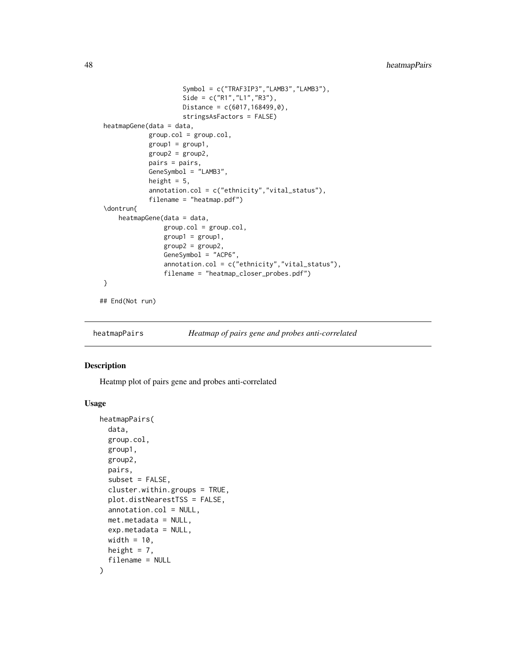```
Symbol = c("TRAF3IP3","LAMB3","LAMB3"),
                      Side = c("R1","L1","R3"),
                      Distance = c(6017, 168499, 0),
                      stringsAsFactors = FALSE)
heatmapGene(data = data,
             group.col = group.col,
             group1 = group1,group2 = group2,
             pairs = pairs,
             GeneSymbol = "LAMB3",
             height = 5,
             annotation.col = c("ethnicity","vital_status"),
             filename = "heatmap.pdf")
 \dontrun{
    heatmapGene(data = data,
                 group.col = group.col,
                 group1 = group1,
                 group2 = group2,
                 GeneSymbol = "ACP6",
                 annotation.col = c("ethnicity","vital_status"),
                 filename = "heatmap_closer_probes.pdf")
}
## End(Not run)
```
heatmapPairs *Heatmap of pairs gene and probes anti-correlated*

## Description

Heatmp plot of pairs gene and probes anti-correlated

#### Usage

```
heatmapPairs(
  data,
  group.col,
  group1,
  group2,
 pairs,
  subset = FALSE,cluster.within.groups = TRUE,
  plot.distNearestTSS = FALSE,
  annotation.col = NULL,
  met.metadata = NULL,
  exp.metadata = NULL,
  width = 10,
  height = 7,
  filename = NULL
)
```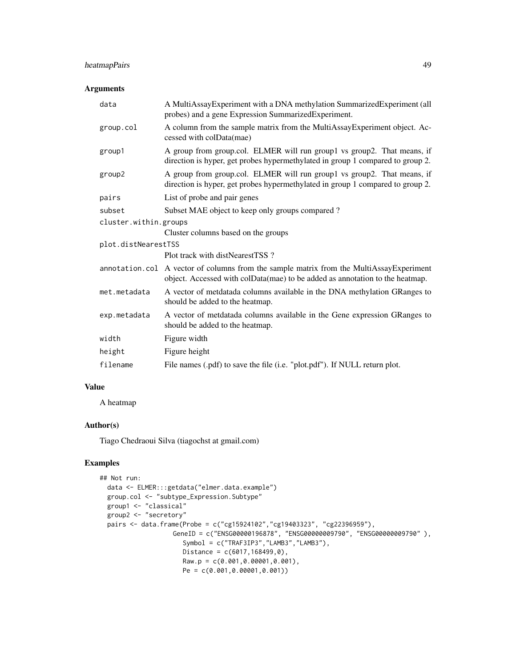# heatmapPairs 49

# Arguments

| data                  | A MultiAssayExperiment with a DNA methylation SummarizedExperiment (all<br>probes) and a gene Expression SummarizedExperiment.                                          |  |
|-----------------------|-------------------------------------------------------------------------------------------------------------------------------------------------------------------------|--|
| group.col             | A column from the sample matrix from the MultiAssayExperiment object. Ac-<br>cessed with colData(mae)                                                                   |  |
| group1                | A group from group.col. ELMER will run group1 vs group2. That means, if<br>direction is hyper, get probes hypermethylated in group 1 compared to group 2.               |  |
| group2                | A group from group.col. ELMER will run group1 vs group2. That means, if<br>direction is hyper, get probes hypermethylated in group 1 compared to group 2.               |  |
| pairs                 | List of probe and pair genes                                                                                                                                            |  |
| subset                | Subset MAE object to keep only groups compared?                                                                                                                         |  |
| cluster.within.groups |                                                                                                                                                                         |  |
|                       | Cluster columns based on the groups                                                                                                                                     |  |
| plot.distNearestTSS   |                                                                                                                                                                         |  |
|                       | Plot track with distNearestTSS?                                                                                                                                         |  |
|                       | annotation.col A vector of columns from the sample matrix from the MultiAssayExperiment<br>object. Accessed with colData(mae) to be added as annotation to the heatmap. |  |
| met.metadata          | A vector of metdatada columns available in the DNA methylation GRanges to<br>should be added to the heatmap.                                                            |  |
| exp.metadata          | A vector of metdatada columns available in the Gene expression GRanges to<br>should be added to the heatmap.                                                            |  |
| width                 | Figure width                                                                                                                                                            |  |
| height                | Figure height                                                                                                                                                           |  |
| filename              | File names (.pdf) to save the file (i.e. "plot.pdf"). If NULL return plot.                                                                                              |  |

# Value

A heatmap

#### Author(s)

Tiago Chedraoui Silva (tiagochst at gmail.com)

# Examples

```
## Not run:
  data <- ELMER:::getdata("elmer.data.example")
  group.col <- "subtype_Expression.Subtype"
  group1 <- "classical"
  group2 <- "secretory"
  pairs <- data.frame(Probe = c("cg15924102","cg19403323", "cg22396959"),
                   GeneID = c("ENSG00000196878", "ENSG00000009790", "ENSG00000009790" ),
                      Symbol = c("TRAF3IP3","LAMB3","LAMB3"),
                      Distance = c(6017, 168499, 0),
                      Raw.p = c(0.001, 0.00001, 0.001),Pe = c(0.001,0.00001,0.001))
```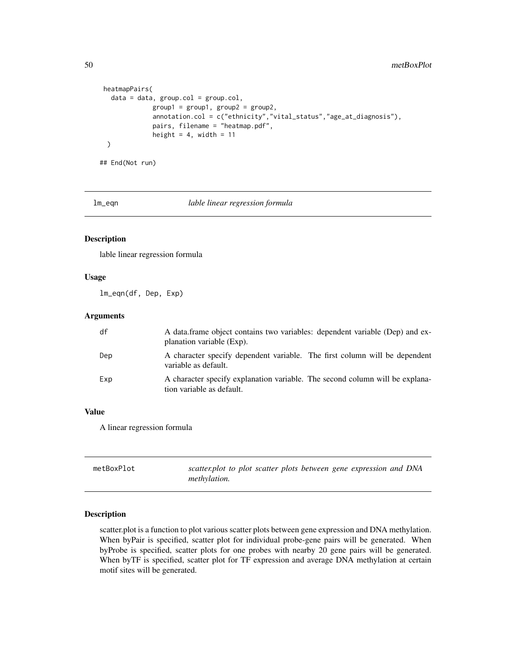```
heatmapPairs(
  data = data, group.col = group.col,group1 = group1, group2 = group2,annotation.col = c("ethnicity","vital_status","age_at_diagnosis"),
            pairs, filename = "heatmap.pdf",
            height = 4, width = 11)
```
## End(Not run)

lm\_eqn *lable linear regression formula*

# Description

lable linear regression formula

## Usage

lm\_eqn(df, Dep, Exp)

## Arguments

| df  | A data frame object contains two variables: dependent variable (Dep) and ex-<br>planation variable (Exp). |
|-----|-----------------------------------------------------------------------------------------------------------|
| Dep | A character specify dependent variable. The first column will be dependent<br>variable as default.        |
| Exp | A character specify explanation variable. The second column will be explana-<br>tion variable as default. |

## Value

A linear regression formula

| metBoxPlot | scatter.plot to plot scatter plots between gene expression and DNA |
|------------|--------------------------------------------------------------------|
|            | <i>methylation.</i>                                                |

# Description

scatter.plot is a function to plot various scatter plots between gene expression and DNA methylation. When byPair is specified, scatter plot for individual probe-gene pairs will be generated. When byProbe is specified, scatter plots for one probes with nearby 20 gene pairs will be generated. When byTF is specified, scatter plot for TF expression and average DNA methylation at certain motif sites will be generated.

<span id="page-49-0"></span>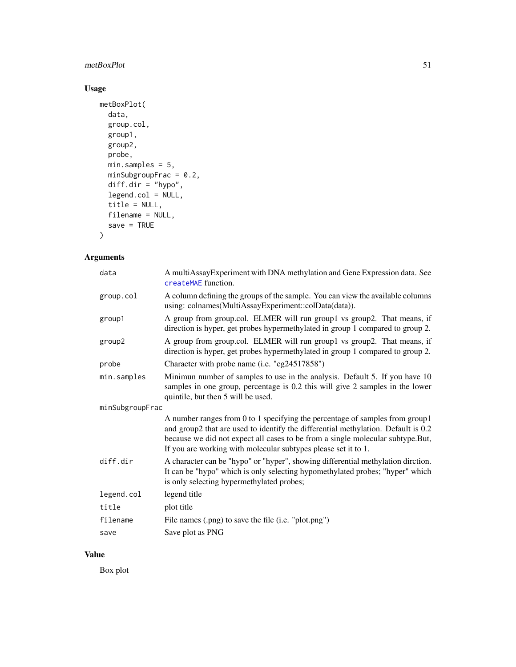# <span id="page-50-0"></span>metBoxPlot 51

# Usage

```
metBoxPlot(
 data,
 group.col,
 group1,
 group2,
 probe,
 min.samples = 5,
 minSubgroupFrac = 0.2,
 diff.dim = "hypo",legend.col = NULL,title = NULL,
 filename = NULL,
  save = TRUE)
```
# Arguments

| data            | A multiAssayExperiment with DNA methylation and Gene Expression data. See<br>createMAE function.                                                                                                                                                                                                                      |
|-----------------|-----------------------------------------------------------------------------------------------------------------------------------------------------------------------------------------------------------------------------------------------------------------------------------------------------------------------|
| group.col       | A column defining the groups of the sample. You can view the available columns<br>using: colnames(MultiAssayExperiment::colData(data)).                                                                                                                                                                               |
| group1          | A group from group.col. ELMER will run group1 vs group2. That means, if<br>direction is hyper, get probes hypermethylated in group 1 compared to group 2.                                                                                                                                                             |
| group2          | A group from group.col. ELMER will run group1 vs group2. That means, if<br>direction is hyper, get probes hypermethylated in group 1 compared to group 2.                                                                                                                                                             |
| probe           | Character with probe name (i.e. "cg24517858")                                                                                                                                                                                                                                                                         |
| min.samples     | Minimun number of samples to use in the analysis. Default 5. If you have 10<br>samples in one group, percentage is 0.2 this will give 2 samples in the lower<br>quintile, but then 5 will be used.                                                                                                                    |
| minSubgroupFrac |                                                                                                                                                                                                                                                                                                                       |
|                 | A number ranges from 0 to 1 specifying the percentage of samples from group1<br>and group2 that are used to identify the differential methylation. Default is 0.2<br>because we did not expect all cases to be from a single molecular subtype.But,<br>If you are working with molecular subtypes please set it to 1. |
| diff.dir        | A character can be "hypo" or "hyper", showing differential methylation dirction.<br>It can be "hypo" which is only selecting hypomethylated probes; "hyper" which<br>is only selecting hypermethylated probes;                                                                                                        |
| legend.col      | legend title                                                                                                                                                                                                                                                                                                          |
| title           | plot title                                                                                                                                                                                                                                                                                                            |
| filename        | File names (.png) to save the file (i.e. "plot.png")                                                                                                                                                                                                                                                                  |
| save            | Save plot as PNG                                                                                                                                                                                                                                                                                                      |

# Value

Box plot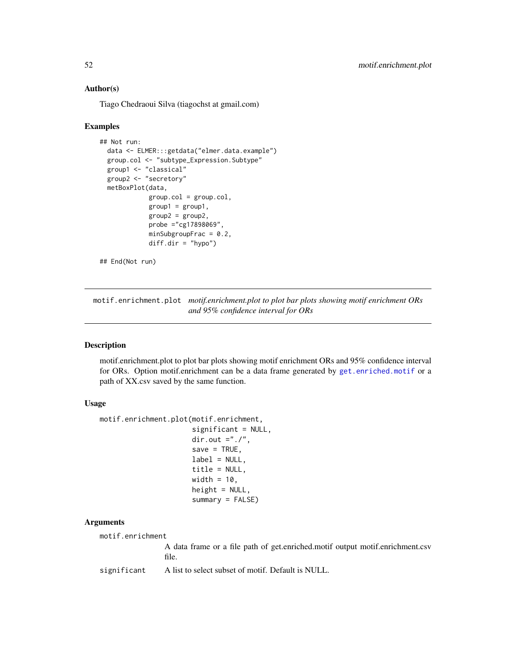## <span id="page-51-0"></span>Author(s)

Tiago Chedraoui Silva (tiagochst at gmail.com)

#### Examples

```
## Not run:
 data <- ELMER:::getdata("elmer.data.example")
 group.col <- "subtype_Expression.Subtype"
 group1 <- "classical"
 group2 <- "secretory"
 metBoxPlot(data,
             group.col = group.col,group1 = group1,group2 = group2,
             probe ="cg17898069",
             minSubgroupFrac = 0.2diff.dir = "hypo")
```

```
## End(Not run)
```
motif.enrichment.plot *motif.enrichment.plot to plot bar plots showing motif enrichment ORs and 95% confidence interval for ORs*

# Description

motif.enrichment.plot to plot bar plots showing motif enrichment ORs and 95% confidence interval for ORs. Option motif.enrichment can be a data frame generated by [get.enriched.motif](#page-18-0) or a path of XX.csv saved by the same function.

#### Usage

```
motif.enrichment.plot(motif.enrichment,
                      significant = NULL,
                      dir.out ="./",
                      save = TRUE,label = NULL,title = NULL,
                      width = 10,
                      height = NULL,summary = FALSE)
```
#### Arguments

motif.enrichment

A data frame or a file path of get.enriched.motif output motif.enrichment.csv file.

significant A list to select subset of motif. Default is NULL.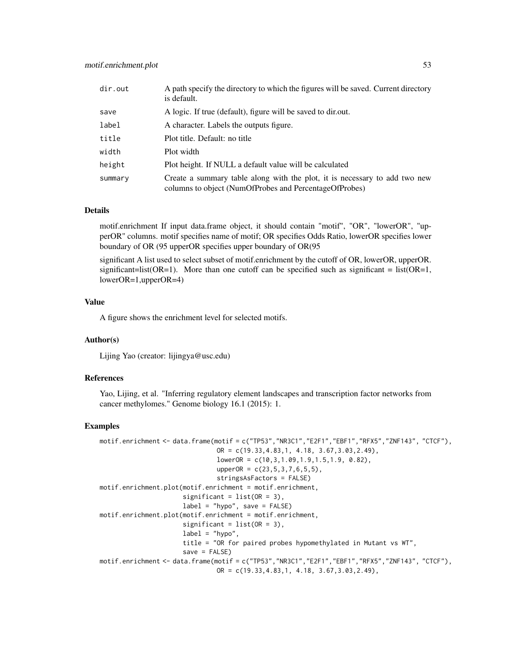| dir.out | A path specify the directory to which the figures will be saved. Current directory<br>is default.                                    |
|---------|--------------------------------------------------------------------------------------------------------------------------------------|
| save    | A logic. If true (default), figure will be saved to dir.out.                                                                         |
| label   | A character. Labels the outputs figure.                                                                                              |
| title   | Plot title. Default: no title                                                                                                        |
| width   | Plot width                                                                                                                           |
| height  | Plot height. If NULL a default value will be calculated                                                                              |
| summary | Create a summary table along with the plot, it is necessary to add two new<br>columns to object (NumOfProbes and PercentageOfProbes) |

#### Details

motif.enrichment If input data.frame object, it should contain "motif", "OR", "lowerOR", "upperOR" columns. motif specifies name of motif; OR specifies Odds Ratio, lowerOR specifies lower boundary of OR (95 upperOR specifies upper boundary of OR(95

significant A list used to select subset of motif.enrichment by the cutoff of OR, lowerOR, upperOR. significant=list( $OR=1$ ). More than one cutoff can be specified such as significant = list( $OR=1$ , lowerOR=1,upperOR=4)

#### Value

A figure shows the enrichment level for selected motifs.

#### Author(s)

Lijing Yao (creator: lijingya@usc.edu)

#### References

Yao, Lijing, et al. "Inferring regulatory element landscapes and transcription factor networks from cancer methylomes." Genome biology 16.1 (2015): 1.

#### Examples

```
motif.enrichment <- data.frame(motif = c("TP53","NR3C1","E2F1","EBF1","RFX5","ZNF143", "CTCF"),
                                OR = c(19.33, 4.83, 1, 4.18, 3.67, 3.03, 2.49),lowerOR = c(10, 3, 1.09, 1.9, 1.5, 1.9, 0.82),
                                upperOR = c(23, 5, 3, 7, 6, 5, 5),
                                stringsAsFactors = FALSE)
motif.enrichment.plot(motif.enrichment = motif.enrichment,
                      significant = list(OR = 3),
                      label = "hypo", save = FALSE)
motif.enrichment.plot(motif.enrichment = motif.enrichment,
                      significant = list(OR = 3),
                      label = "hypo",
                      title = "OR for paired probes hypomethylated in Mutant vs WT",
                      save = FALSE)motif.enrichment <- data.frame(motif = c("TP53","NR3C1","E2F1","EBF1","RFX5","ZNF143", "CTCF"),
                                OR = c(19.33, 4.83, 1, 4.18, 3.67, 3.03, 2.49),
```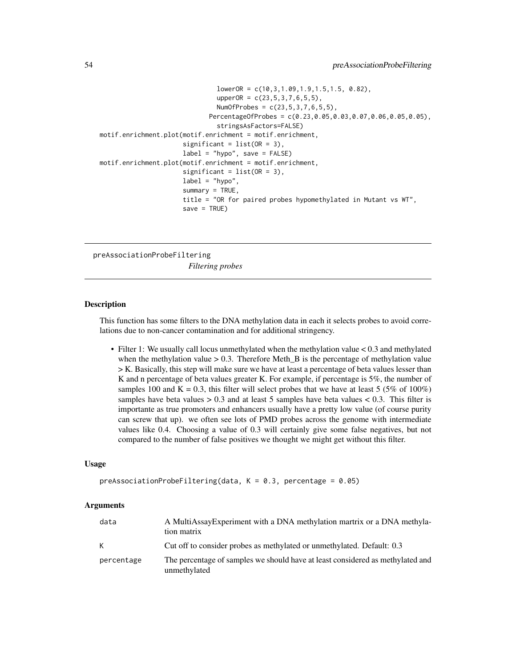```
lowerOR = c(10, 3, 1.09, 1.9, 1.5, 1.5, 0.82),
                                upperOR = c(23, 5, 3, 7, 6, 5, 5),
                                NumOfProbes = c(23,5,3,7,6,5,5),
                              PercentageOfProbes = c(0.23,0.05,0.03,0.07,0.06,0.05,0.05),
                                stringsAsFactors=FALSE)
motif.enrichment.plot(motif.enrichment = motif.enrichment,
                      significant = list(OR = 3),
                      label = "hypo", save = FALSE)
motif.enrichment.plot(motif.enrichment = motif.enrichment,
                      significant = list(OR = 3),
                      label = "hypo",
                      summary = TRUE,
                      title = "OR for paired probes hypomethylated in Mutant vs WT",
                      save = TRUE)
```
preAssociationProbeFiltering *Filtering probes*

#### Description

This function has some filters to the DNA methylation data in each it selects probes to avoid correlations due to non-cancer contamination and for additional stringency.

• Filter 1: We usually call locus unmethylated when the methylation value < 0.3 and methylated when the methylation value  $> 0.3$ . Therefore Meth<sub>\_B</sub> is the percentage of methylation value > K. Basically, this step will make sure we have at least a percentage of beta values lesser than K and n percentage of beta values greater K. For example, if percentage is 5%, the number of samples 100 and K = 0.3, this filter will select probes that we have at least 5 (5% of 100%) samples have beta values  $> 0.3$  and at least 5 samples have beta values  $< 0.3$ . This filter is importante as true promoters and enhancers usually have a pretty low value (of course purity can screw that up). we often see lots of PMD probes across the genome with intermediate values like 0.4. Choosing a value of 0.3 will certainly give some false negatives, but not compared to the number of false positives we thought we might get without this filter.

#### Usage

```
preAssociationProbeFiltering(data, K = 0.3, percentage = 0.05)
```
#### Arguments

| data       | A MultiAssayExperiment with a DNA methylation martrix or a DNA methyla-<br>tion matrix         |
|------------|------------------------------------------------------------------------------------------------|
| K          | Cut off to consider probes as methylated or unmethylated. Default: 0.3                         |
| percentage | The percentage of samples we should have at least considered as methylated and<br>unmethylated |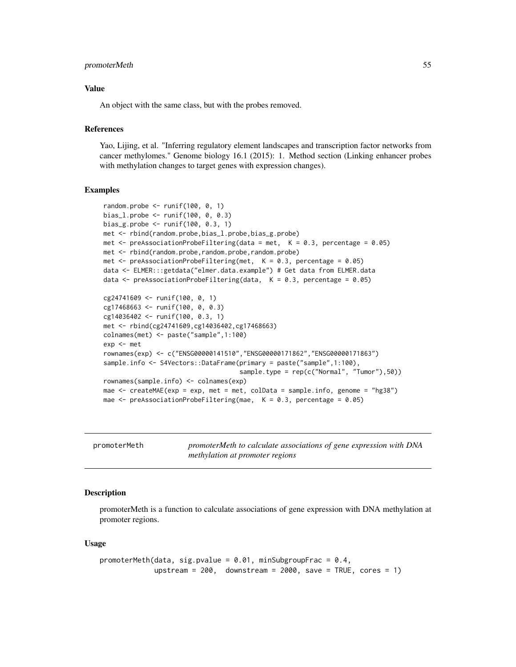#### <span id="page-54-0"></span>promoterMeth 55

#### Value

An object with the same class, but with the probes removed.

# References

Yao, Lijing, et al. "Inferring regulatory element landscapes and transcription factor networks from cancer methylomes." Genome biology 16.1 (2015): 1. Method section (Linking enhancer probes with methylation changes to target genes with expression changes).

#### Examples

```
random.probe \leq runif(100, 0, 1)
bias_l.probe <- runif(100, 0, 0.3)
bias_g.probe <- runif(100, 0.3, 1)
met <- rbind(random.probe,bias_l.probe,bias_g.probe)
met \le- preAssociationProbeFiltering(data = met, K = 0.3, percentage = 0.05)
met <- rbind(random.probe,random.probe,random.probe)
met \leq preAssociationProbeFiltering(met, K = 0.3, percentage = 0.05)
data <- ELMER:::getdata("elmer.data.example") # Get data from ELMER.data
data \leq preAssociationProbeFiltering(data, K = 0.3, percentage = 0.05)
cg24741609 <- runif(100, 0, 1)
cg17468663 <- runif(100, 0, 0.3)
cg14036402 <- runif(100, 0.3, 1)
met <- rbind(cg24741609,cg14036402,cg17468663)
colnames(met) <- paste("sample",1:100)
exp <- met
rownames(exp) <- c("ENSG00000141510","ENSG00000171862","ENSG00000171863")
sample.info <- S4Vectors::DataFrame(primary = paste("sample",1:100),
                                    sample.type = rep(c("Normal", "Tumor"),50))
rownames(sample.info) <- colnames(exp)
mae <- createMAE(exp = exp, met = met, colData = sample.info, genome = "hg38")
mae \leq- preAssociationProbeFiltering(mae, K = 0.3, percentage = 0.05)
```
promoterMeth *promoterMeth to calculate associations of gene expression with DNA methylation at promoter regions*

#### **Description**

promoterMeth is a function to calculate associations of gene expression with DNA methylation at promoter regions.

#### Usage

```
promoterMeth(data, sig.pvalue = 0.01, minSubgroupFrac = 0.4,
            upstream = 200, downstream = 2000, save = TRUE, cores = 1)
```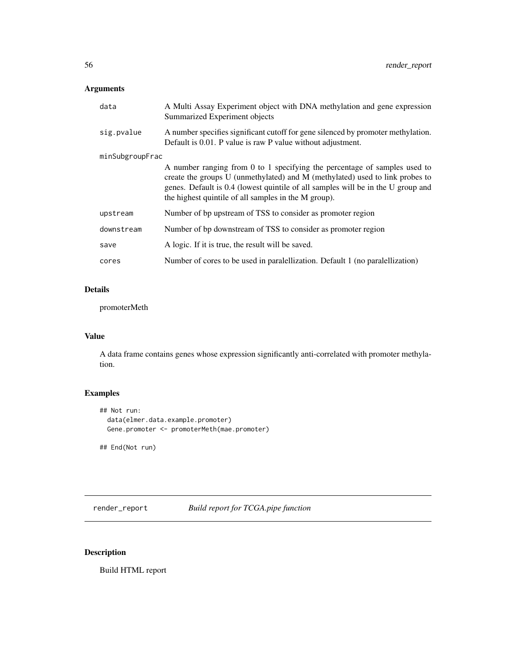# <span id="page-55-0"></span>Arguments

| data            | A Multi Assay Experiment object with DNA methylation and gene expression<br>Summarized Experiment objects                                                                                                                                                                                             |
|-----------------|-------------------------------------------------------------------------------------------------------------------------------------------------------------------------------------------------------------------------------------------------------------------------------------------------------|
| sig.pvalue      | A number specifies significant cutoff for gene silenced by promoter methylation.<br>Default is 0.01. P value is raw P value without adjustment.                                                                                                                                                       |
| minSubgroupFrac |                                                                                                                                                                                                                                                                                                       |
|                 | A number ranging from 0 to 1 specifying the percentage of samples used to<br>create the groups U (unmethylated) and M (methylated) used to link probes to<br>genes. Default is 0.4 (lowest quintile of all samples will be in the U group and<br>the highest quintile of all samples in the M group). |
| upstream        | Number of bp upstream of TSS to consider as promoter region                                                                                                                                                                                                                                           |
| downstream      | Number of bp downstream of TSS to consider as promoter region                                                                                                                                                                                                                                         |
| save            | A logic. If it is true, the result will be saved.                                                                                                                                                                                                                                                     |
| cores           | Number of cores to be used in paralellization. Default 1 (no paralellization)                                                                                                                                                                                                                         |

# Details

promoterMeth

# Value

A data frame contains genes whose expression significantly anti-correlated with promoter methylation.

# Examples

```
## Not run:
 data(elmer.data.example.promoter)
 Gene.promoter <- promoterMeth(mae.promoter)
```
## End(Not run)

render\_report *Build report for TCGA.pipe function*

# Description

Build HTML report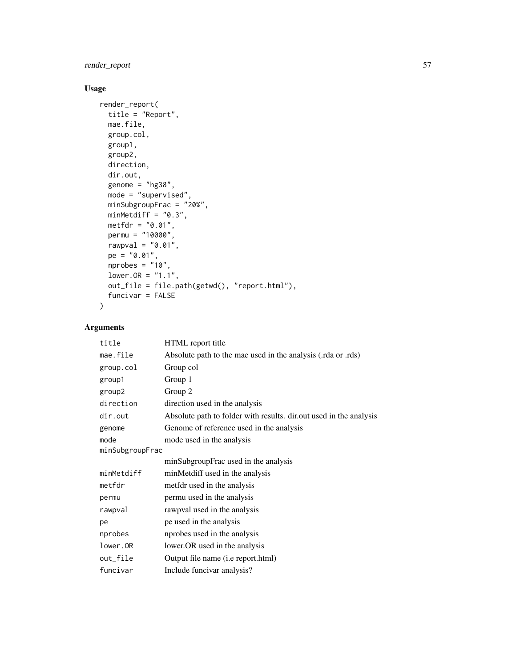render\_report 57

# Usage

```
render_report(
 title = "Report",
 mae.file,
 group.col,
 group1,
 group2,
 direction,
 dir.out,
 genome = "hg38",
 mode = "supervised",minSubgroupFrac = "20%",
 minMethodiff = "0.3",metfdr = "0.01",permu = "10000",
 rawpval = "0.01",pe = "0.01",nprobes = "10",lower.OR = "1.1",out_file = file.path(getwd(), "report.html"),
 funcivar = FALSE
\mathcal{L}
```
# Arguments

| title           | HTML report title                                                  |
|-----------------|--------------------------------------------------------------------|
| mae.file        | Absolute path to the mae used in the analysis (.rda or .rds)       |
| group.col       | Group col                                                          |
| group1          | Group 1                                                            |
| group2          | Group 2                                                            |
| direction       | direction used in the analysis                                     |
| dir.out         | Absolute path to folder with results. dir.out used in the analysis |
| genome          | Genome of reference used in the analysis                           |
| mode            | mode used in the analysis                                          |
| minSubgroupFrac |                                                                    |
|                 | minSubgroupFrac used in the analysis                               |
| minMetdiff      | minMetdiff used in the analysis                                    |
| metfdr          | metfdr used in the analysis                                        |
| permu           | permu used in the analysis                                         |
| rawpval         | rawpval used in the analysis                                       |
| pe              | pe used in the analysis                                            |
| nprobes         | nprobes used in the analysis                                       |
| lower.OR        | lower. OR used in the analysis                                     |
| out_file        | Output file name (i.e report.html)                                 |
| funcivar        | Include funcivar analysis?                                         |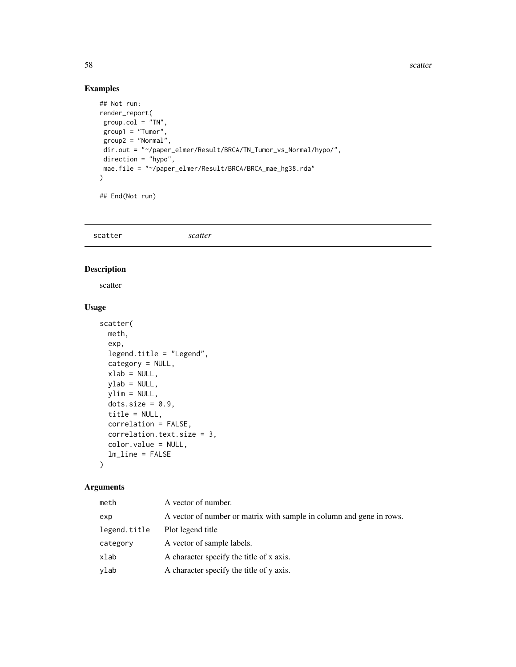58 scatter and the set of the set of the set of the set of the set of the set of the set of the set of the set of the set of the set of the set of the set of the set of the set of the set of the set of the set of the set o

# Examples

```
## Not run:
render_report(
group.col = "TN",group1 = "Turnor",group2 = "Normal",
dir.out = "~/paper_elmer/Result/BRCA/TN_Tumor_vs_Normal/hypo/",
direction = "hypo",
mae.file = "~/paper_elmer/Result/BRCA/BRCA_mae_hg38.rda"
\mathcal{L}
```
## End(Not run)

scatter *scatter*

# Description

scatter

## Usage

```
scatter(
 meth,
 exp,
 legend.title = "Legend",
 category = NULL,
 xlab = NULL,
 ylab = NULL,
 ylim = NULL,
 dots size = 0.9,
 title = NULL,
 correlation = FALSE,
 correlation.text.size = 3,
 color.value = NULL,
 lm_line = FALSE
\mathcal{L}
```
# Arguments

| meth         | A vector of number.                                                  |
|--------------|----------------------------------------------------------------------|
| exp          | A vector of number or matrix with sample in column and gene in rows. |
| legend.title | Plot legend title                                                    |
| category     | A vector of sample labels.                                           |
| xlab         | A character specify the title of x axis.                             |
| ylab         | A character specify the title of y axis.                             |

<span id="page-57-0"></span>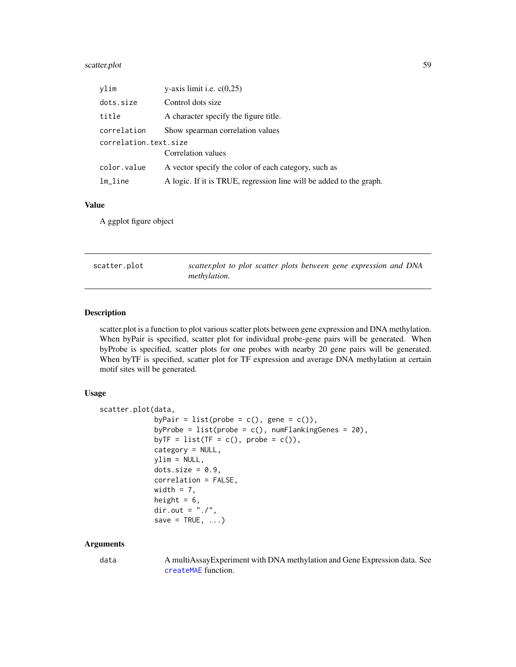# <span id="page-58-0"></span>scatter.plot 59

| vlim                  | y-axis limit i.e. $c(0,25)$                                         |  |
|-----------------------|---------------------------------------------------------------------|--|
| dots.size             | Control dots size                                                   |  |
| title                 | A character specify the figure title.                               |  |
| correlation           | Show spearman correlation values                                    |  |
| correlation.text.size |                                                                     |  |
|                       | Correlation values                                                  |  |
| color.value           | A vector specify the color of each category, such as                |  |
| $lm\_line$            | A logic. If it is TRUE, regression line will be added to the graph. |  |

## Value

A ggplot figure object

scatter.plot *scatter.plot to plot scatter plots between gene expression and DNA methylation.*

#### Description

scatter.plot is a function to plot various scatter plots between gene expression and DNA methylation. When byPair is specified, scatter plot for individual probe-gene pairs will be generated. When byProbe is specified, scatter plots for one probes with nearby 20 gene pairs will be generated. When byTF is specified, scatter plot for TF expression and average DNA methylation at certain motif sites will be generated.

#### Usage

```
scatter.plot(data,
             byPair = list(probe = c(), gene = c()),
             byProbe = list(\text{probe} = c(), numFlankingGenes = 20),
             byTF = list(TF = c(), probe = c()),
             category = NULL,
             ylim = NULL,
             dots size = 0.9,
             correlation = FALSE,
             width = 7,
             height = 6,
             dir.out = "./".save = TRUE, \ldots)
```
## Arguments

data A multiAssayExperiment with DNA methylation and Gene Expression data. See [createMAE](#page-7-0) function.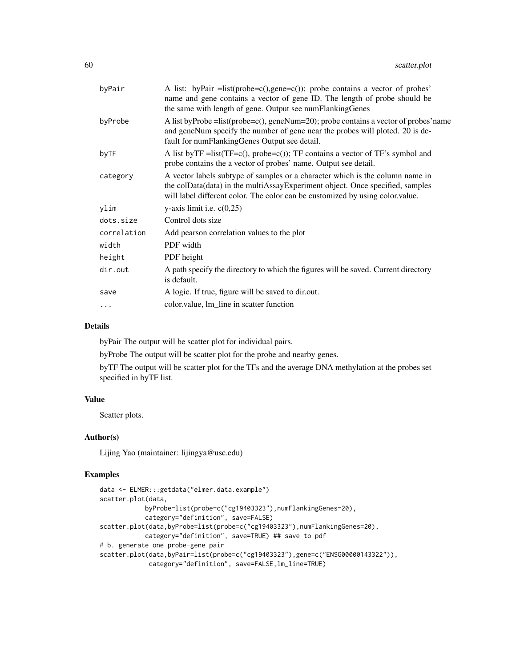| byPair      | A list: byPair =list(probe= $c$ (),gene= $c$ ()); probe contains a vector of probes'<br>name and gene contains a vector of gene ID. The length of probe should be<br>the same with length of gene. Output see numFlankingGenes                  |
|-------------|-------------------------------------------------------------------------------------------------------------------------------------------------------------------------------------------------------------------------------------------------|
| byProbe     | A list by Probe = list(probe= $c$ (), geneNum=20); probe contains a vector of probes' name<br>and geneNum specify the number of gene near the probes will ploted. 20 is de-<br>fault for numFlankingGenes Output see detail.                    |
| byTF        | A list by $TF = list(TF = c()$ , probe=c()); $TF$ contains a vector of $TF$ 's symbol and<br>probe contains the a vector of probes' name. Output see detail.                                                                                    |
| category    | A vector labels subtype of samples or a character which is the column name in<br>the colData(data) in the multiAssayExperiment object. Once specified, samples<br>will label different color. The color can be customized by using color value. |
| ylim        | y-axis limit i.e. $c(0,25)$                                                                                                                                                                                                                     |
| dots.size   | Control dots size                                                                                                                                                                                                                               |
| correlation | Add pearson correlation values to the plot                                                                                                                                                                                                      |
| width       | PDF width                                                                                                                                                                                                                                       |
| height      | PDF height                                                                                                                                                                                                                                      |
| dir.out     | A path specify the directory to which the figures will be saved. Current directory<br>is default.                                                                                                                                               |
| save        | A logic. If true, figure will be saved to dir.out.                                                                                                                                                                                              |
| $\cdots$    | color.value, lm_line in scatter function                                                                                                                                                                                                        |
|             |                                                                                                                                                                                                                                                 |

# Details

byPair The output will be scatter plot for individual pairs.

byProbe The output will be scatter plot for the probe and nearby genes.

byTF The output will be scatter plot for the TFs and the average DNA methylation at the probes set specified in byTF list.

## Value

Scatter plots.

## Author(s)

Lijing Yao (maintainer: lijingya@usc.edu)

#### Examples

```
data <- ELMER:::getdata("elmer.data.example")
scatter.plot(data,
           byProbe=list(probe=c("cg19403323"),numFlankingGenes=20),
           category="definition", save=FALSE)
scatter.plot(data,byProbe=list(probe=c("cg19403323"),numFlankingGenes=20),
           category="definition", save=TRUE) ## save to pdf
# b. generate one probe-gene pair
scatter.plot(data,byPair=list(probe=c("cg19403323"),gene=c("ENSG00000143322")),
            category="definition", save=FALSE,lm_line=TRUE)
```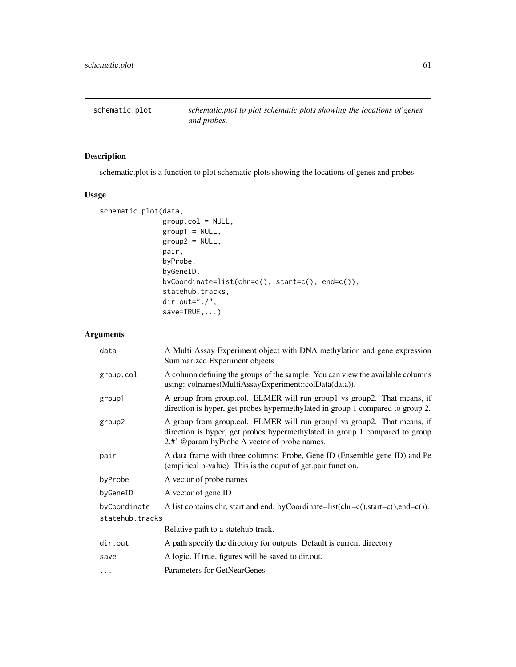<span id="page-60-0"></span>

# Description

schematic.plot is a function to plot schematic plots showing the locations of genes and probes.

# Usage

```
schematic.plot(data,
               group.col = NULL,
               group1 = NULL,group2 = NULL,pair,
               byProbe,
               byGeneID,
               byCoordinate=list(chr=c(), start=c(), end=c()),
               statehub.tracks,
               dir.out="./",
               save=TRUE,...)
```
# Arguments

| data            | A Multi Assay Experiment object with DNA methylation and gene expression<br>Summarized Experiment objects                                                                                              |  |
|-----------------|--------------------------------------------------------------------------------------------------------------------------------------------------------------------------------------------------------|--|
| group.col       | A column defining the groups of the sample. You can view the available columns<br>using: colnames(MultiAssayExperiment::colData(data)).                                                                |  |
| group1          | A group from group.col. ELMER will run group1 vs group2. That means, if<br>direction is hyper, get probes hypermethylated in group 1 compared to group 2.                                              |  |
| group2          | A group from group.col. ELMER will run group1 vs group2. That means, if<br>direction is hyper, get probes hypermethylated in group 1 compared to group<br>2.#' @param byProbe A vector of probe names. |  |
| pair            | A data frame with three columns: Probe, Gene ID (Ensemble gene ID) and Pe<br>(empirical p-value). This is the ouput of get pair function.                                                              |  |
| byProbe         | A vector of probe names                                                                                                                                                                                |  |
| byGeneID        | A vector of gene ID                                                                                                                                                                                    |  |
| byCoordinate    | A list contains chr, start and end. by Coordinate=list(chr=c(),start=c(),end=c()).                                                                                                                     |  |
| statehub.tracks |                                                                                                                                                                                                        |  |
|                 | Relative path to a state hub track.                                                                                                                                                                    |  |
| dir.out         | A path specify the directory for outputs. Default is current directory                                                                                                                                 |  |
| save            | A logic. If true, figures will be saved to dir.out.                                                                                                                                                    |  |
| $\cdots$        | Parameters for GetNearGenes                                                                                                                                                                            |  |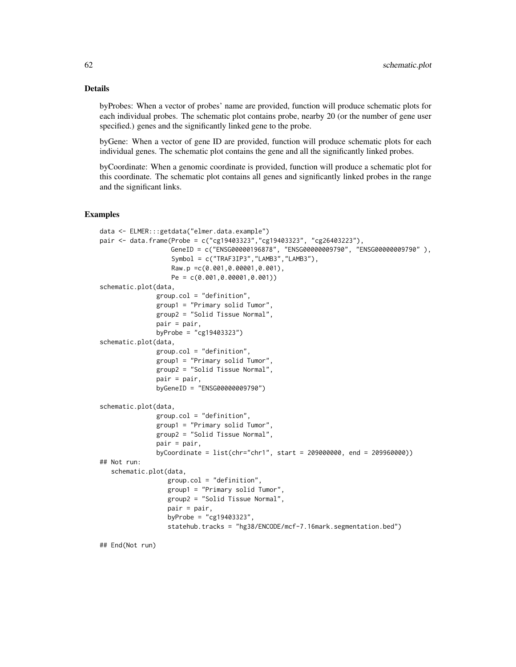#### Details

byProbes: When a vector of probes' name are provided, function will produce schematic plots for each individual probes. The schematic plot contains probe, nearby 20 (or the number of gene user specified.) genes and the significantly linked gene to the probe.

byGene: When a vector of gene ID are provided, function will produce schematic plots for each individual genes. The schematic plot contains the gene and all the significantly linked probes.

byCoordinate: When a genomic coordinate is provided, function will produce a schematic plot for this coordinate. The schematic plot contains all genes and significantly linked probes in the range and the significant links.

#### Examples

```
data <- ELMER:::getdata("elmer.data.example")
pair <- data.frame(Probe = c("cg19403323","cg19403323", "cg26403223"),
                  GeneID = c("ENSG00000196878", "ENSG00000009790", "ENSG00000009790" ),
                   Symbol = c("TRAF3IP3","LAMB3","LAMB3"),
                   Raw.p =c(0.001,0.00001,0.001),
                   Pe = c(0.001,0.00001,0.001))
schematic.plot(data,
               group.col = "definition",
               group1 = "Primary solid Tumor",
               group2 = "Solid Tissue Normal",
               pair = pair,
               byProbe = "cg19403323")
schematic.plot(data,
               group.col = "definition",
               group1 = "Primary solid Tumor",
               group2 = "Solid Tissue Normal",
               pair = pair,
               byGeneID = "ENSG00000009790")
schematic.plot(data,
               group.col = "definition",
               group1 = "Primary solid Tumor",
               group2 = "Solid Tissue Normal",
               pair = pair,
               byCoordinate = list(chr="chr1", start = 209000000, end = 209960000))
## Not run:
   schematic.plot(data,
                  group.col = "definition",
                  group1 = "Primary solid Tumor",
                  group2 = "Solid Tissue Normal",
                  pair = pair,
                  byProbe = "cg19403323",
                  statehub.tracks = "hg38/ENCODE/mcf-7.16mark.segmentation.bed")
```
## End(Not run)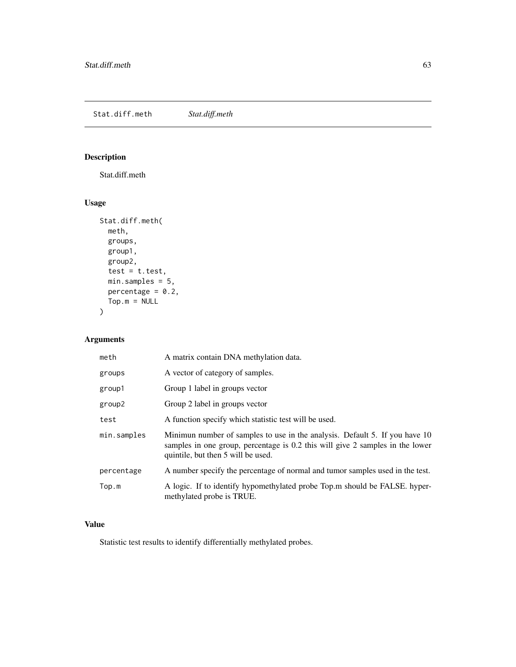<span id="page-62-0"></span>Stat.diff.meth *Stat.diff.meth*

# Description

Stat.diff.meth

# Usage

```
Stat.diff.meth(
 meth,
 groups,
 group1,
 group2,
 test = t.test,
 min.samples = 5,
 percentage = 0.2,
 Top.m = NULL)
```
# Arguments

| meth        | A matrix contain DNA methylation data.                                                                                                                                                             |
|-------------|----------------------------------------------------------------------------------------------------------------------------------------------------------------------------------------------------|
| groups      | A vector of category of samples.                                                                                                                                                                   |
| group1      | Group 1 label in groups vector                                                                                                                                                                     |
| group2      | Group 2 label in groups vector                                                                                                                                                                     |
| test        | A function specify which statistic test will be used.                                                                                                                                              |
| min.samples | Minimun number of samples to use in the analysis. Default 5. If you have 10<br>samples in one group, percentage is 0.2 this will give 2 samples in the lower<br>quintile, but then 5 will be used. |
| percentage  | A number specify the percentage of normal and tumor samples used in the test.                                                                                                                      |
| Top.m       | A logic. If to identify hypomethylated probe Top.m should be FALSE. hyper-<br>methylated probe is TRUE.                                                                                            |

# Value

Statistic test results to identify differentially methylated probes.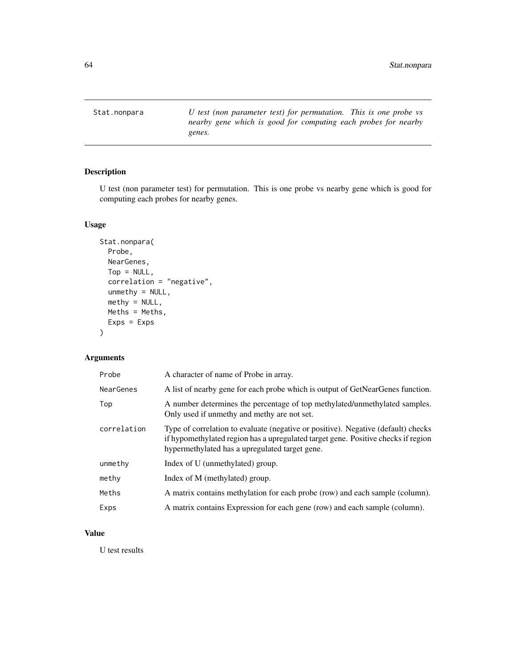<span id="page-63-0"></span>Stat.nonpara *U test (non parameter test) for permutation. This is one probe vs nearby gene which is good for computing each probes for nearby genes.*

# Description

U test (non parameter test) for permutation. This is one probe vs nearby gene which is good for computing each probes for nearby genes.

# Usage

```
Stat.nonpara(
  Probe,
  NearGenes,
  Top = NULL,
  correlation = "negative",
  unmethy = NULL,
  methyl = NULL,Meths = Meths,
  Express = Exps\mathcal{L}
```
# Arguments

| Probe       | A character of name of Probe in array.                                                                                                                                                                                   |
|-------------|--------------------------------------------------------------------------------------------------------------------------------------------------------------------------------------------------------------------------|
| NearGenes   | A list of nearby gene for each probe which is output of GetNearGenes function.                                                                                                                                           |
| Top         | A number determines the percentage of top methylated/unmethylated samples.<br>Only used if unmethy and methy are not set.                                                                                                |
| correlation | Type of correlation to evaluate (negative or positive). Negative (default) checks<br>if hypomethylated region has a upregulated target gene. Positive checks if region<br>hypermethylated has a upregulated target gene. |
| unmethy     | Index of U (unmethylated) group.                                                                                                                                                                                         |
| methy       | Index of M (methylated) group.                                                                                                                                                                                           |
| Meths       | A matrix contains methylation for each probe (row) and each sample (column).                                                                                                                                             |
| Exps        | A matrix contains Expression for each gene (row) and each sample (column).                                                                                                                                               |

# Value

U test results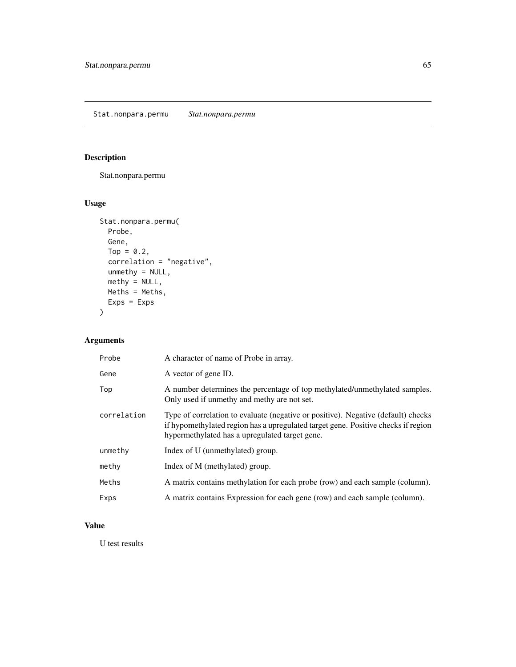# <span id="page-64-0"></span>Description

Stat.nonpara.permu

# Usage

```
Stat.nonpara.permu(
 Probe,
 Gene,
 Top = 0.2,correlation = "negative",
 unmethy = NULL,
 methy = NULL,
 Meths = Meths,
 Exps = Exps)
```
# Arguments

| Probe       | A character of name of Probe in array.                                                                                                                                                                                   |
|-------------|--------------------------------------------------------------------------------------------------------------------------------------------------------------------------------------------------------------------------|
| Gene        | A vector of gene ID.                                                                                                                                                                                                     |
| Top         | A number determines the percentage of top methylated/unmethylated samples.<br>Only used if unmethy and methy are not set.                                                                                                |
| correlation | Type of correlation to evaluate (negative or positive). Negative (default) checks<br>if hypomethylated region has a upregulated target gene. Positive checks if region<br>hypermethylated has a upregulated target gene. |
| unmethy     | Index of U (unmethylated) group.                                                                                                                                                                                         |
| methy       | Index of M (methylated) group.                                                                                                                                                                                           |
| Meths       | A matrix contains methylation for each probe (row) and each sample (column).                                                                                                                                             |
| Exps        | A matrix contains Expression for each gene (row) and each sample (column).                                                                                                                                               |

# Value

U test results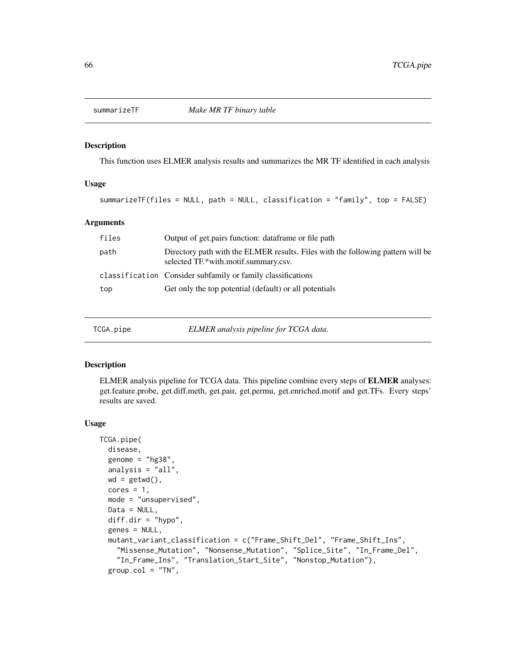<span id="page-65-0"></span>

#### Description

This function uses ELMER analysis results and summarizes the MR TF identified in each analysis

## Usage

summarizeTF(files = NULL, path = NULL, classification = "family", top = FALSE)

# Arguments

| files | Output of get.pairs function: dataframe or file path                                                                    |
|-------|-------------------------------------------------------------------------------------------------------------------------|
| path  | Directory path with the ELMER results. Files with the following pattern will be<br>selected TF.*with.motif.summary.csv. |
|       | classification Consider subfamily or family classifications                                                             |
| top   | Get only the top potential (default) or all potentials                                                                  |

TCGA.pipe *ELMER analysis pipeline for TCGA data.*

#### Description

ELMER analysis pipeline for TCGA data. This pipeline combine every steps of ELMER analyses: get.feature.probe, get.diff.meth, get.pair, get.permu, get.enriched.motif and get.TFs. Every steps' results are saved.

#### Usage

```
TCGA.pipe(
 disease,
  genome = "hg38",
 analysis = "all",
 wd = getwd(),
 cores = 1,
 mode = "unsupervised",
 Data = NULL,
  diff.dim = "hypo",genes = NULL,
 mutant_variant_classification = c("Frame_Shift_Del", "Frame_Shift_Ins",
    "Missense_Mutation", "Nonsense_Mutation", "Splice_Site", "In_Frame_Del",
    "In_Frame_Ins", "Translation_Start_Site", "Nonstop_Mutation"),
  group.col = "TN",
```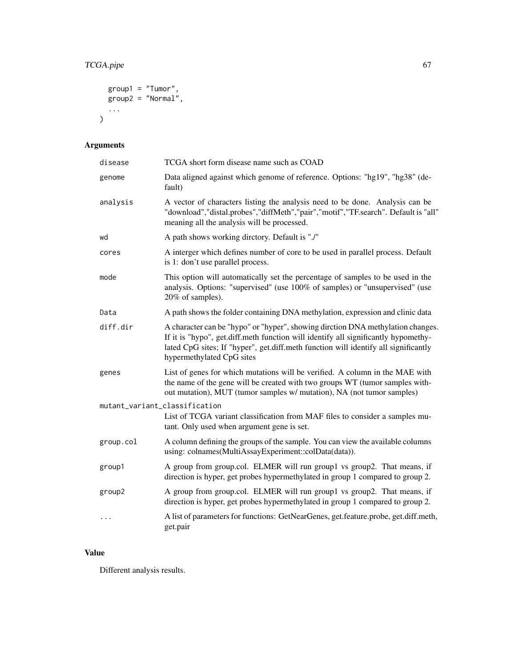# TCGA.pipe 67

```
group1 = "Tumor",
   group2 = "Normal",
  ...
\mathcal{L}
```
# Arguments

| disease                       | TCGA short form disease name such as COAD                                                                                                                                                                                                                                                 |
|-------------------------------|-------------------------------------------------------------------------------------------------------------------------------------------------------------------------------------------------------------------------------------------------------------------------------------------|
| genome                        | Data aligned against which genome of reference. Options: "hg19", "hg38" (de-<br>fault)                                                                                                                                                                                                    |
| analysis                      | A vector of characters listing the analysis need to be done. Analysis can be<br>"download","distal.probes","diffMeth","pair","motif","TF.search". Default is "all"<br>meaning all the analysis will be processed.                                                                         |
| wd                            | A path shows working directory. Default is "./"                                                                                                                                                                                                                                           |
| cores                         | A interger which defines number of core to be used in parallel process. Default<br>is 1: don't use parallel process.                                                                                                                                                                      |
| mode                          | This option will automatically set the percentage of samples to be used in the<br>analysis. Options: "supervised" (use 100% of samples) or "unsupervised" (use<br>20% of samples).                                                                                                        |
| Data                          | A path shows the folder containing DNA methylation, expression and clinic data                                                                                                                                                                                                            |
| diff.dir                      | A character can be "hypo" or "hyper", showing dirction DNA methylation changes.<br>If it is "hypo", get.diff.meth function will identify all significantly hypomethy-<br>lated CpG sites; If "hyper", get.diff.meth function will identify all significantly<br>hypermethylated CpG sites |
| genes                         | List of genes for which mutations will be verified. A column in the MAE with<br>the name of the gene will be created with two groups WT (tumor samples with-<br>out mutation), MUT (tumor samples w/ mutation), NA (not tumor samples)                                                    |
| mutant_variant_classification |                                                                                                                                                                                                                                                                                           |
|                               | List of TCGA variant classification from MAF files to consider a samples mu-<br>tant. Only used when argument gene is set.                                                                                                                                                                |
| group.col                     | A column defining the groups of the sample. You can view the available columns<br>using: colnames(MultiAssayExperiment::colData(data)).                                                                                                                                                   |
| group1                        | A group from group.col. ELMER will run group1 vs group2. That means, if<br>direction is hyper, get probes hypermethylated in group 1 compared to group 2.                                                                                                                                 |
| group2                        | A group from group.col. ELMER will run group1 vs group2. That means, if<br>direction is hyper, get probes hypermethylated in group 1 compared to group 2.                                                                                                                                 |
| $\ddotsc$                     | A list of parameters for functions: GetNearGenes, get.feature.probe, get.diff.meth,<br>get.pair                                                                                                                                                                                           |

# Value

Different analysis results.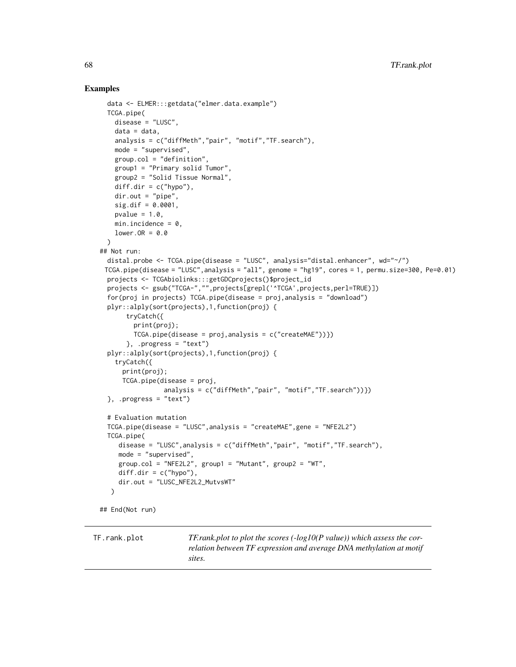## Examples

```
data <- ELMER:::getdata("elmer.data.example")
 TCGA.pipe(
   disease = "LUSC",
   data = data,
   analysis = c("diffMeth","pair", "motif","TF.search"),
   mode = "supervised",
   group.col = "definition",
   group1 = "Primary solid Tumor",
   group2 = "Solid Tissue Normal",
   diff.dir = c("hypo"),
   dir.out = "pipe",
   sig.dif = 0.0001,
   pvalue = 1.0,
   min.incidence = 0,
   lower.OR = 0.0)
## Not run:
 distal.probe <- TCGA.pipe(disease = "LUSC", analysis="distal.enhancer", wd="~/")
 TCGA.pipe(disease = "LUSC",analysis = "all", genome = "hg19", cores = 1, permu.size=300, Pe=0.01)
 projects <- TCGAbiolinks:::getGDCprojects()$project_id
 projects <- gsub("TCGA-","",projects[grepl('^TCGA',projects,perl=TRUE)])
 for(proj in projects) TCGA.pipe(disease = proj,analysis = "download")
 plyr::alply(sort(projects),1,function(proj) {
      tryCatch({
        print(proj);
        TCGA.pipe(disease = proj, analysis = c("createMAE"))}, .progress = "text")
 plyr::alply(sort(projects),1,function(proj) {
   tryCatch({
     print(proj);
     TCGA.pipe(disease = proj,
                analysis = c("diffMeth","pair", "motif","TF.search"))})
 }, .progress = "text")
 # Evaluation mutation
 TCGA.pipe(disease = "LUSC",analysis = "createMAE",gene = "NFE2L2")
 TCGA.pipe(
    disease = "LUSC",analysis = c("diffMeth","pair", "motif","TF.search"),
    mode = "supervised",
    group.col = "NFE2L2", group1 = "Mutant", group2 = "WT",diff.dim = c("hypo"),
    dir.out = "LUSC_NFE2L2_MutvsWT"
  )
## End(Not run)
```
TF.rank.plot *TF.rank.plot to plot the scores (-log10(P value)) which assess the correlation between TF expression and average DNA methylation at motif sites.*

<span id="page-67-0"></span>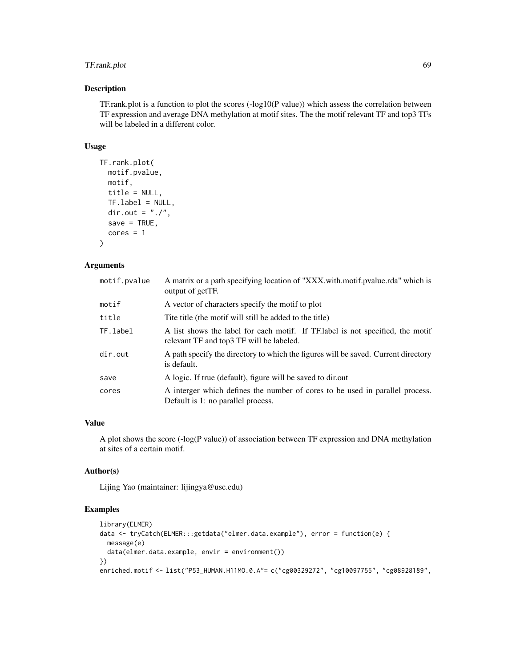# TF.rank.plot 69

#### Description

TF.rank.plot is a function to plot the scores  $(-log10(P value))$  which assess the correlation between TF expression and average DNA methylation at motif sites. The the motif relevant TF and top3 TFs will be labeled in a different color.

## Usage

```
TF.rank.plot(
  motif.pvalue,
  motif,
  title = NULL,
  TF.label = NULL,
  dir.out = "./".save = TRUE,
  cores = 1\mathcal{L}
```
# Arguments

| A matrix or a path specifying location of "XXX with motif pvalue rda" which is<br>output of getTF.                         |
|----------------------------------------------------------------------------------------------------------------------------|
| A vector of characters specify the motif to plot                                                                           |
| Tite title (the motif will still be added to the title)                                                                    |
| A list shows the label for each motif. If TF label is not specified, the motif<br>relevant TF and top3 TF will be labeled. |
| A path specify the directory to which the figures will be saved. Current directory<br>is default.                          |
| A logic. If true (default), figure will be saved to dir.out                                                                |
| A interger which defines the number of cores to be used in parallel process.<br>Default is 1: no parallel process.         |
|                                                                                                                            |

# Value

A plot shows the score (-log(P value)) of association between TF expression and DNA methylation at sites of a certain motif.

## Author(s)

Lijing Yao (maintainer: lijingya@usc.edu)

## Examples

```
library(ELMER)
data <- tryCatch(ELMER:::getdata("elmer.data.example"), error = function(e) {
 message(e)
  data(elmer.data.example, envir = environment())
})
enriched.motif <- list("P53_HUMAN.H11MO.0.A"= c("cg00329272", "cg10097755", "cg08928189",
```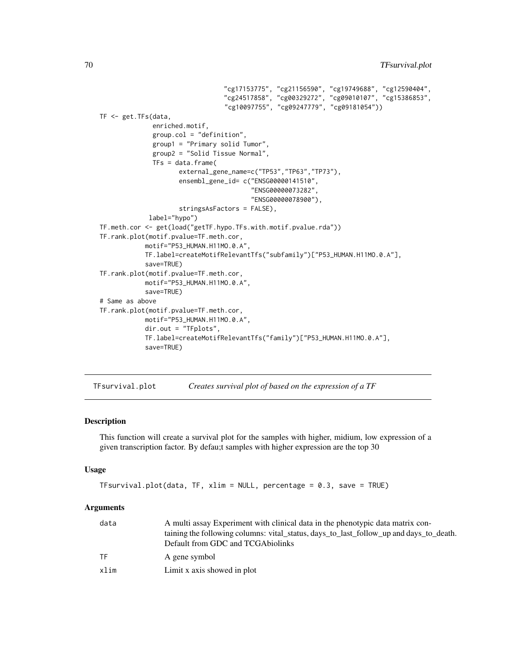```
"cg17153775", "cg21156590", "cg19749688", "cg12590404",
                                  "cg24517858", "cg00329272", "cg09010107", "cg15386853",
                                  "cg10097755", "cg09247779", "cg09181054"))
TF <- get.TFs(data,
              enriched.motif,
              group.col = "definition",
              group1 = "Primary solid Tumor",
              group2 = "Solid Tissue Normal",
              TFs = data.frame(external_gene_name=c("TP53","TP63","TP73"),
                     ensembl_gene_id= c("ENSG00000141510",
                                         "ENSG00000073282",
                                         "ENSG00000078900"),
                     stringsAsFactors = FALSE),
             label="hypo")
TF.meth.cor <- get(load("getTF.hypo.TFs.with.motif.pvalue.rda"))
TF.rank.plot(motif.pvalue=TF.meth.cor,
            motif="P53_HUMAN.H11MO.0.A",
            TF.label=createMotifRelevantTfs("subfamily")["P53_HUMAN.H11MO.0.A"],
            save=TRUE)
TF.rank.plot(motif.pvalue=TF.meth.cor,
            motif="P53_HUMAN.H11MO.0.A",
            save=TRUE)
# Same as above
TF.rank.plot(motif.pvalue=TF.meth.cor,
            motif="P53_HUMAN.H11MO.0.A",
            dir.out = "TFplots",
            TF.label=createMotifRelevantTfs("family")["P53_HUMAN.H11MO.0.A"],
            save=TRUE)
```
TFsurvival.plot *Creates survival plot of based on the expression of a TF*

## Description

This function will create a survival plot for the samples with higher, midium, low expression of a given transcription factor. By defau;t samples with higher expression are the top 30

#### Usage

```
TFsurvival.plot(data, TF, xlim = NULL, percentage = 0.3, save = TRUE)
```
#### Arguments

| data | A multi assay Experiment with clinical data in the phenotypic data matrix con-<br>taining the following columns: vital_status, days_to_last_follow_up and days_to_death.<br>Default from GDC and TCGA biolinks |
|------|----------------------------------------------------------------------------------------------------------------------------------------------------------------------------------------------------------------|
| TF.  | A gene symbol                                                                                                                                                                                                  |
| xlim | Limit x axis showed in plot                                                                                                                                                                                    |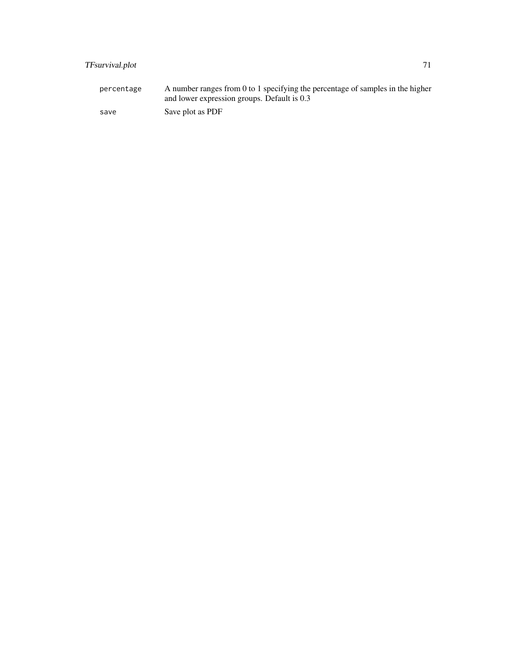# TFsurvival.plot 71

percentage A number ranges from 0 to 1 specifying the percentage of samples in the higher and lower expression groups. Default is 0.3 save Save plot as PDF